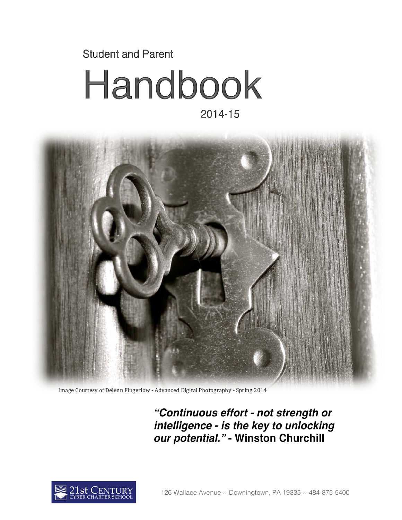## **Student and Parent** Handbook

2014-15



Image Courtesy of Delenn Fingerlow - Advanced Digital Photography - Spring 2014

"Continuous effort - not strength or intelligence - is the key to unlocking our potential." - Winston Churchill

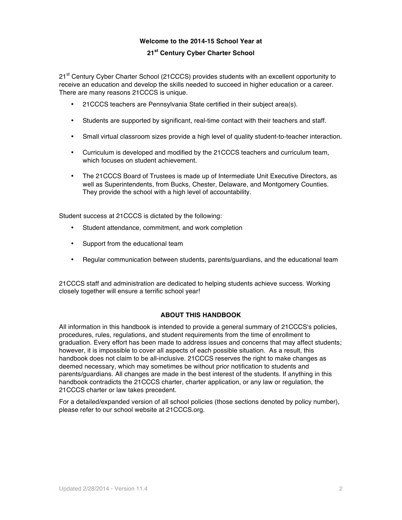#### **Welcome to the 2014-15 School Year at**

#### **21st Century Cyber Charter School**

21<sup>st</sup> Century Cyber Charter School (21CCCS) provides students with an excellent opportunity to receive an education and develop the skills needed to succeed in higher education or a career. There are many reasons 21CCCS is unique.

- 21CCCS teachers are Pennsylvania State certified in their subject area(s).
- Students are supported by significant, real-time contact with their teachers and staff.
- Small virtual classroom sizes provide a high level of quality student-to-teacher interaction.
- Curriculum is developed and modified by the 21CCCS teachers and curriculum team, which focuses on student achievement.
- The 21CCCS Board of Trustees is made up of Intermediate Unit Executive Directors, as well as Superintendents, from Bucks, Chester, Delaware, and Montgomery Counties. They provide the school with a high level of accountability.

Student success at 21CCCS is dictated by the following:

- Student attendance, commitment, and work completion
- Support from the educational team
- Regular communication between students, parents/guardians, and the educational team

21CCCS staff and administration are dedicated to helping students achieve success. Working closely together will ensure a terrific school year!

#### **ABOUT THIS HANDBOOK**

All information in this handbook is intended to provide a general summary of 21CCCS's policies, procedures, rules, regulations, and student requirements from the time of enrollment to graduation. Every effort has been made to address issues and concerns that may affect students; however, it is impossible to cover all aspects of each possible situation. As a result, this handbook does not claim to be all-inclusive. 21CCCS reserves the right to make changes as deemed necessary, which may sometimes be without prior notification to students and parents/guardians. All changes are made in the best interest of the students. If anything in this handbook contradicts the 21CCCS charter, charter application, or any law or regulation, the 21CCCS charter or law takes precedent.

For a detailed/expanded version of all school policies (those sections denoted by policy number), please refer to our school website at 21CCCS.org.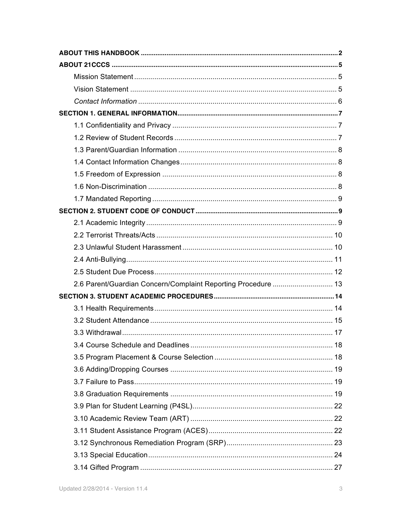| 2.6 Parent/Guardian Concern/Complaint Reporting Procedure  13 |  |
|---------------------------------------------------------------|--|
|                                                               |  |
|                                                               |  |
|                                                               |  |
|                                                               |  |
|                                                               |  |
|                                                               |  |
|                                                               |  |
|                                                               |  |
|                                                               |  |
|                                                               |  |
|                                                               |  |
|                                                               |  |
|                                                               |  |
|                                                               |  |
|                                                               |  |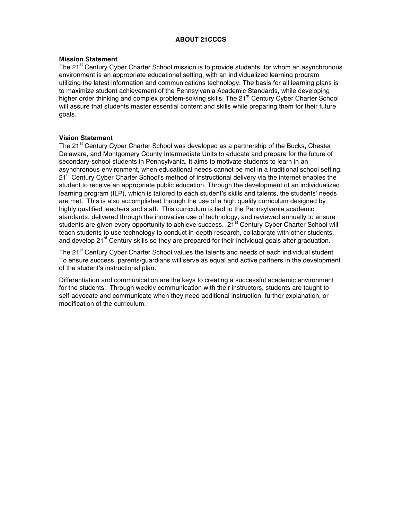#### **ABOUT 21CCCS**

#### **Mission Statement**

The 21<sup>st</sup> Century Cyber Charter School mission is to provide students, for whom an asynchronous environment is an appropriate educational setting, with an individualized learning program utilizing the latest information and communications technology. The basis for all learning plans is to maximize student achievement of the Pennsylvania Academic Standards, while developing higher order thinking and complex problem-solving skills. The 21<sup>st</sup> Century Cyber Charter School will assure that students master essential content and skills while preparing them for their future goals.

#### **Vision Statement**

The 21<sup>st</sup> Century Cyber Charter School was developed as a partnership of the Bucks, Chester, Delaware, and Montgomery County Intermediate Units to educate and prepare for the future of secondary-school students in Pennsylvania. It aims to motivate students to learn in an asynchronous environment, when educational needs cannot be met in a traditional school setting. 21<sup>st</sup> Century Cyber Charter School's method of instructional delivery via the internet enables the student to receive an appropriate public education. Through the development of an individualized learning program (ILP), which is tailored to each student's skills and talents, the students' needs are met. This is also accomplished through the use of a high quality curriculum designed by highly qualified teachers and staff. This curriculum is tied to the Pennsylvania academic standards, delivered through the innovative use of technology, and reviewed annually to ensure students are given every opportunity to achieve success. 21<sup>st</sup> Century Cyber Charter School will teach students to use technology to conduct in-depth research, collaborate with other students, and develop  $21^{st}$  Century skills so they are prepared for their individual goals after graduation.

The 21<sup>st</sup> Century Cyber Charter School values the talents and needs of each individual student. To ensure success, parents/guardians will serve as equal and active partners in the development of the student's instructional plan.

Differentiation and communication are the keys to creating a successful academic environment for the students. Through weekly communication with their instructors, students are taught to self-advocate and communicate when they need additional instruction, further explanation, or modification of the curriculum.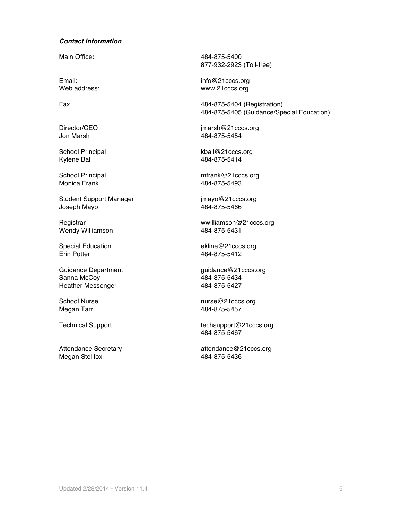#### *Contact Information*

Email: Email: info@21cccs.org

Kylene Ball 484-875-5414

Monica Frank 484-875-5493

Student Support Manager imayo@21cccs.org Joseph Mayo 484-875-5466

Wendy Williamson **484-875-5431** 

Guidance Department Guidance @21cccs.org Sanna McCoy 484-875-5434 Heather Messenger 484-875-5427

Megan Stellfox 484-875-5436

Main Office: 484-875-5400 877-932-2923 (Toll-free)

Web address: www.21cccs.org

Fax: 484-875-5404 (Registration) 484-875-5405 (Guidance/Special Education)

Director/CEO jmarsh@21cccs.org Jon Marsh 484-875-5454

School Principal **Kball@21cccs.org** 

School Principal mfrank@21cccs.org

Registrar **National Community Community** Registrar wwilliamson@21cccs.org

Special Education entitled and the second existence of the extra second exists of the extra second exists of t<br>
Erin Potter exists and the second and the second and the second and the second second and the second second s Erin Potter 484-875-5412

School Nurse nurse@21cccs.org Megan Tarr 484-875-5457

Technical Support techsupport@21cccs.org 484-875-5467

Attendance Secretary attendance@21cccs.org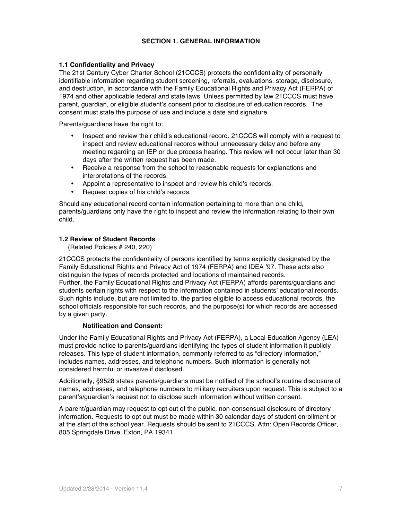#### **SECTION 1. GENERAL INFORMATION**

#### **1.1 Confidentiality and Privacy**

The 21st Century Cyber Charter School (21CCCS) protects the confidentiality of personally identifiable information regarding student screening, referrals, evaluations, storage, disclosure, and destruction, in accordance with the Family Educational Rights and Privacy Act (FERPA) of 1974 and other applicable federal and state laws. Unless permitted by law 21CCCS must have parent, guardian, or eligible student's consent prior to disclosure of education records. The consent must state the purpose of use and include a date and signature.

Parents/guardians have the right to:

- Inspect and review their child's educational record. 21CCCS will comply with a request to inspect and review educational records without unnecessary delay and before any meeting regarding an IEP or due process hearing. This review will not occur later than 30 days after the written request has been made.
- Receive a response from the school to reasonable requests for explanations and interpretations of the records.
- Appoint a representative to inspect and review his child's records.
- Request copies of his child's records.

Should any educational record contain information pertaining to more than one child, parents/guardians only have the right to inspect and review the information relating to their own child.

#### **1.2 Review of Student Records**

(Related Policies # 240, 220)

21CCCS protects the confidentiality of persons identified by terms explicitly designated by the Family Educational Rights and Privacy Act of 1974 (FERPA) and IDEA '97. These acts also distinguish the types of records protected and locations of maintained records. Further, the Family Educational Rights and Privacy Act (FERPA) affords parents/guardians and students certain rights with respect to the information contained in students' educational records. Such rights include, but are not limited to, the parties eligible to access educational records, the school officials responsible for such records, and the purpose(s) for which records are accessed by a given party.

#### **Notification and Consent:**

Under the Family Educational Rights and Privacy Act (FERPA), a Local Education Agency (LEA) must provide notice to parents/guardians identifying the types of student information it publicly releases. This type of student information, commonly referred to as "directory information," includes names, addresses, and telephone numbers. Such information is generally not considered harmful or invasive if disclosed.

Additionally, §9528 states parents/guardians must be notified of the school's routine disclosure of names, addresses, and telephone numbers to military recruiters upon request. This is subject to a parent's/guardian's request not to disclose such information without written consent.

A parent/guardian may request to opt out of the public, non-consensual disclosure of directory information. Requests to opt out must be made within 30 calendar days of student enrollment or at the start of the school year. Requests should be sent to 21CCCS, Attn: Open Records Officer, 805 Springdale Drive, Exton, PA 19341.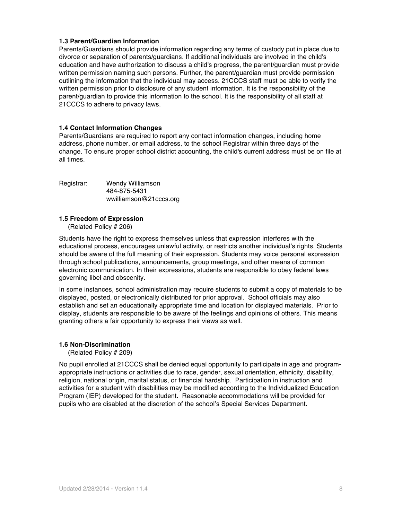#### **1.3 Parent/Guardian Information**

Parents/Guardians should provide information regarding any terms of custody put in place due to divorce or separation of parents/guardians. If additional individuals are involved in the child's education and have authorization to discuss a child's progress, the parent/guardian must provide written permission naming such persons. Further, the parent/guardian must provide permission outlining the information that the individual may access. 21CCCS staff must be able to verify the written permission prior to disclosure of any student information. It is the responsibility of the parent/guardian to provide this information to the school. It is the responsibility of all staff at 21CCCS to adhere to privacy laws.

#### **1.4 Contact Information Changes**

Parents/Guardians are required to report any contact information changes, including home address, phone number, or email address, to the school Registrar within three days of the change. To ensure proper school district accounting, the child's current address must be on file at all times.

| Registrar: | <b>Wendy Williamson</b> |
|------------|-------------------------|
|            | 484-875-5431            |
|            | wwilliamson@21cccs.org  |

#### **1.5 Freedom of Expression**

(Related Policy # 206)

Students have the right to express themselves unless that expression interferes with the educational process, encourages unlawful activity, or restricts another individual's rights. Students should be aware of the full meaning of their expression. Students may voice personal expression through school publications, announcements, group meetings, and other means of common electronic communication. In their expressions, students are responsible to obey federal laws governing libel and obscenity.

In some instances, school administration may require students to submit a copy of materials to be displayed, posted, or electronically distributed for prior approval. School officials may also establish and set an educationally appropriate time and location for displayed materials. Prior to display, students are responsible to be aware of the feelings and opinions of others. This means granting others a fair opportunity to express their views as well.

#### **1.6 Non-Discrimination**

(Related Policy # 209)

No pupil enrolled at 21CCCS shall be denied equal opportunity to participate in age and programappropriate instructions or activities due to race, gender, sexual orientation, ethnicity, disability, religion, national origin, marital status, or financial hardship. Participation in instruction and activities for a student with disabilities may be modified according to the Individualized Education Program (IEP) developed for the student. Reasonable accommodations will be provided for pupils who are disabled at the discretion of the school's Special Services Department.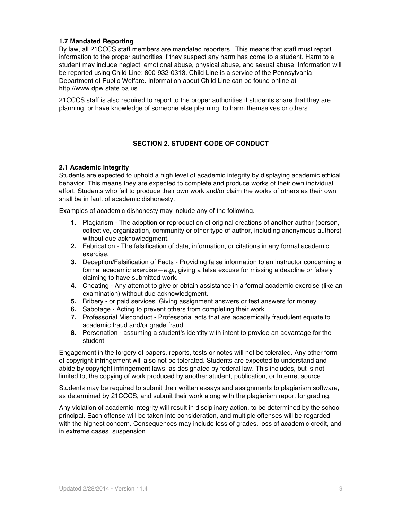#### **1.7 Mandated Reporting**

By law, all 21CCCS staff members are mandated reporters. This means that staff must report information to the proper authorities if they suspect any harm has come to a student. Harm to a student may include neglect, emotional abuse, physical abuse, and sexual abuse. Information will be reported using Child Line: 800-932-0313. Child Line is a service of the Pennsylvania Department of Public Welfare. Information about Child Line can be found online at http://www.dpw.state.pa.us

21CCCS staff is also required to report to the proper authorities if students share that they are planning, or have knowledge of someone else planning, to harm themselves or others.

#### **SECTION 2. STUDENT CODE OF CONDUCT**

#### **2.1 Academic Integrity**

Students are expected to uphold a high level of academic integrity by displaying academic ethical behavior. This means they are expected to complete and produce works of their own individual effort. Students who fail to produce their own work and/or claim the works of others as their own shall be in fault of academic dishonesty.

Examples of academic dishonesty may include any of the following.

- **1.** Plagiarism The adoption or reproduction of original creations of another author (person, collective, organization, community or other type of author, including anonymous authors) without due acknowledgment.
- **2.** Fabrication The falsification of data, information, or citations in any formal academic exercise.
- **3.** Deception/Falsification of Facts Providing false information to an instructor concerning a formal academic exercise—*e.g.,* giving a false excuse for missing a deadline or falsely claiming to have submitted work.
- **4.** Cheating Any attempt to give or obtain assistance in a formal academic exercise (like an examination) without due acknowledgment.
- **5.** Bribery or paid services. Giving assignment answers or test answers for money.
- **6.** Sabotage Acting to prevent others from completing their work.
- **7.** Professorial Misconduct Professorial acts that are academically fraudulent equate to academic fraud and/or grade fraud.
- **8.** Personation assuming a student's identity with intent to provide an advantage for the student.

Engagement in the forgery of papers, reports, tests or notes will not be tolerated. Any other form of copyright infringement will also not be tolerated. Students are expected to understand and abide by copyright infringement laws, as designated by federal law. This includes, but is not limited to, the copying of work produced by another student, publication, or Internet source.

Students may be required to submit their written essays and assignments to plagiarism software, as determined by 21CCCS, and submit their work along with the plagiarism report for grading.

Any violation of academic integrity will result in disciplinary action, to be determined by the school principal. Each offense will be taken into consideration, and multiple offenses will be regarded with the highest concern. Consequences may include loss of grades, loss of academic credit, and in extreme cases, suspension.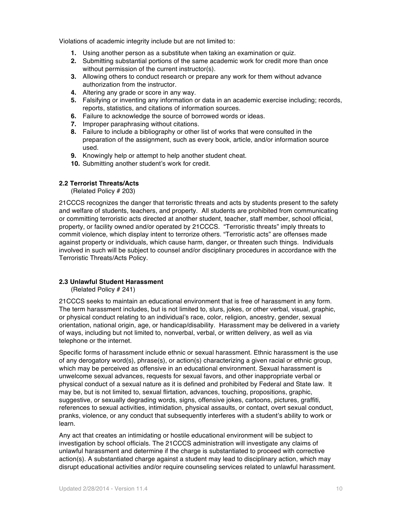Violations of academic integrity include but are not limited to:

- **1.** Using another person as a substitute when taking an examination or quiz.
- **2.** Submitting substantial portions of the same academic work for credit more than once without permission of the current instructor(s).
- **3.** Allowing others to conduct research or prepare any work for them without advance authorization from the instructor.
- **4.** Altering any grade or score in any way.
- **5.** Falsifying or inventing any information or data in an academic exercise including; records, reports, statistics, and citations of information sources.
- **6.** Failure to acknowledge the source of borrowed words or ideas.
- **7.** Improper paraphrasing without citations.
- **8.** Failure to include a bibliography or other list of works that were consulted in the preparation of the assignment, such as every book, article, and/or information source used.
- **9.** Knowingly help or attempt to help another student cheat.
- **10.** Submitting another student's work for credit.

#### **2.2 Terrorist Threats/Acts**

(Related Policy # 203)

21CCCS recognizes the danger that terroristic threats and acts by students present to the safety and welfare of students, teachers, and property. All students are prohibited from communicating or committing terroristic acts directed at another student, teacher, staff member, school official, property, or facility owned and/or operated by 21CCCS. "Terroristic threats" imply threats to commit violence, which display intent to terrorize others. "Terroristic acts" are offenses made against property or individuals, which cause harm, danger, or threaten such things. Individuals involved in such will be subject to counsel and/or disciplinary procedures in accordance with the Terroristic Threats/Acts Policy.

#### **2.3 Unlawful Student Harassment**

(Related Policy # 241)

21CCCS seeks to maintain an educational environment that is free of harassment in any form. The term harassment includes, but is not limited to, slurs, jokes, or other verbal, visual, graphic, or physical conduct relating to an individual's race, color, religion, ancestry, gender, sexual orientation, national origin, age, or handicap/disability. Harassment may be delivered in a variety of ways, including but not limited to, nonverbal, verbal, or written delivery, as well as via telephone or the internet.

Specific forms of harassment include ethnic or sexual harassment. Ethnic harassment is the use of any derogatory word(s), phrase(s), or action(s) characterizing a given racial or ethnic group, which may be perceived as offensive in an educational environment. Sexual harassment is unwelcome sexual advances, requests for sexual favors, and other inappropriate verbal or physical conduct of a sexual nature as it is defined and prohibited by Federal and State law. It may be, but is not limited to, sexual flirtation, advances, touching, propositions, graphic, suggestive, or sexually degrading words, signs, offensive jokes, cartoons, pictures, graffiti, references to sexual activities, intimidation, physical assaults, or contact, overt sexual conduct, pranks, violence, or any conduct that subsequently interferes with a student's ability to work or learn.

Any act that creates an intimidating or hostile educational environment will be subject to investigation by school officials. The 21CCCS administration will investigate any claims of unlawful harassment and determine if the charge is substantiated to proceed with corrective action(s). A substantiated charge against a student may lead to disciplinary action, which may disrupt educational activities and/or require counseling services related to unlawful harassment.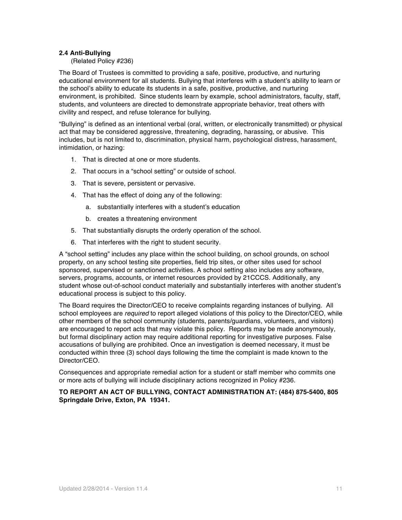#### **2.4 Anti-Bullying**

(Related Policy #236)

The Board of Trustees is committed to providing a safe, positive, productive, and nurturing educational environment for all students. Bullying that interferes with a student's ability to learn or the school's ability to educate its students in a safe, positive, productive, and nurturing environment, is prohibited. Since students learn by example, school administrators, faculty, staff, students, and volunteers are directed to demonstrate appropriate behavior, treat others with civility and respect, and refuse tolerance for bullying.

"Bullying" is defined as an intentional verbal (oral, written, or electronically transmitted) or physical act that may be considered aggressive, threatening, degrading, harassing, or abusive. This includes, but is not limited to, discrimination, physical harm, psychological distress, harassment, intimidation, or hazing:

- 1. That is directed at one or more students.
- 2. That occurs in a "school setting" or outside of school.
- 3. That is severe, persistent or pervasive.
- 4. That has the effect of doing any of the following:
	- a. substantially interferes with a student's education
	- b. creates a threatening environment
- 5. That substantially disrupts the orderly operation of the school.
- 6. That interferes with the right to student security.

A "school setting" includes any place within the school building, on school grounds, on school property, on any school testing site properties, field trip sites, or other sites used for school sponsored, supervised or sanctioned activities. A school setting also includes any software, servers, programs, accounts, or internet resources provided by 21CCCS. Additionally, any student whose out-of-school conduct materially and substantially interferes with another student's educational process is subject to this policy.

The Board requires the Director/CEO to receive complaints regarding instances of bullying. All school employees are *required* to report alleged violations of this policy to the Director/CEO, while other members of the school community (students, parents/guardians, volunteers, and visitors) are encouraged to report acts that may violate this policy. Reports may be made anonymously, but formal disciplinary action may require additional reporting for investigative purposes. False accusations of bullying are prohibited. Once an investigation is deemed necessary, it must be conducted within three (3) school days following the time the complaint is made known to the Director/CEO.

Consequences and appropriate remedial action for a student or staff member who commits one or more acts of bullying will include disciplinary actions recognized in Policy #236.

#### **TO REPORT AN ACT OF BULLYING, CONTACT ADMINISTRATION AT: (484) 875-5400, 805 Springdale Drive, Exton, PA 19341.**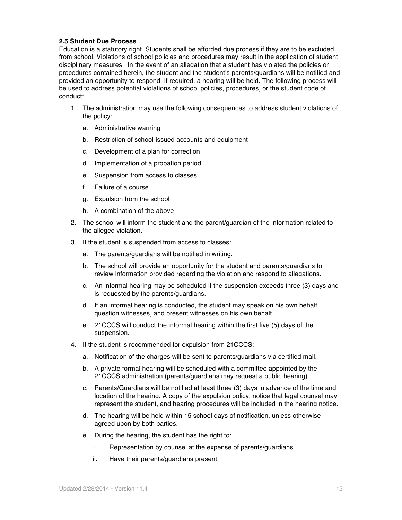#### **2.5 Student Due Process**

Education is a statutory right. Students shall be afforded due process if they are to be excluded from school. Violations of school policies and procedures may result in the application of student disciplinary measures. In the event of an allegation that a student has violated the policies or procedures contained herein, the student and the student's parents/guardians will be notified and provided an opportunity to respond. If required, a hearing will be held. The following process will be used to address potential violations of school policies, procedures, or the student code of conduct:

- 1. The administration may use the following consequences to address student violations of the policy:
	- a. Administrative warning
	- b. Restriction of school-issued accounts and equipment
	- c. Development of a plan for correction
	- d. Implementation of a probation period
	- e. Suspension from access to classes
	- f. Failure of a course
	- g. Expulsion from the school
	- h. A combination of the above
- 2. The school will inform the student and the parent/guardian of the information related to the alleged violation.
- 3. If the student is suspended from access to classes:
	- a. The parents/guardians will be notified in writing.
	- b. The school will provide an opportunity for the student and parents/guardians to review information provided regarding the violation and respond to allegations.
	- c. An informal hearing may be scheduled if the suspension exceeds three (3) days and is requested by the parents/guardians.
	- d. If an informal hearing is conducted, the student may speak on his own behalf, question witnesses, and present witnesses on his own behalf.
	- e. 21CCCS will conduct the informal hearing within the first five (5) days of the suspension.
- 4. If the student is recommended for expulsion from 21CCCS:
	- a. Notification of the charges will be sent to parents/guardians via certified mail.
	- b. A private formal hearing will be scheduled with a committee appointed by the 21CCCS administration (parents/guardians may request a public hearing).
	- c. Parents/Guardians will be notified at least three (3) days in advance of the time and location of the hearing. A copy of the expulsion policy, notice that legal counsel may represent the student, and hearing procedures will be included in the hearing notice.
	- d. The hearing will be held within 15 school days of notification, unless otherwise agreed upon by both parties.
	- e. During the hearing, the student has the right to:
		- i. Representation by counsel at the expense of parents/guardians.
		- ii. Have their parents/guardians present.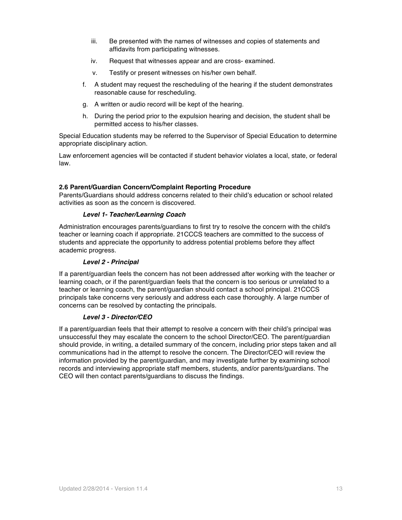- iii. Be presented with the names of witnesses and copies of statements and affidavits from participating witnesses.
- iv. Request that witnesses appear and are cross- examined.
- v. Testify or present witnesses on his/her own behalf.
- f. A student may request the rescheduling of the hearing if the student demonstrates reasonable cause for rescheduling.
- g. A written or audio record will be kept of the hearing.
- h. During the period prior to the expulsion hearing and decision, the student shall be permitted access to his/her classes.

Special Education students may be referred to the Supervisor of Special Education to determine appropriate disciplinary action.

Law enforcement agencies will be contacted if student behavior violates a local, state, or federal law.

#### **2.6 Parent/Guardian Concern/Complaint Reporting Procedure**

Parents/Guardians should address concerns related to their child's education or school related activities as soon as the concern is discovered.

#### *Level 1- Teacher/Learning Coach*

Administration encourages parents/guardians to first try to resolve the concern with the child's teacher or learning coach if appropriate. 21CCCS teachers are committed to the success of students and appreciate the opportunity to address potential problems before they affect academic progress.

#### *Level 2 - Principal*

If a parent/guardian feels the concern has not been addressed after working with the teacher or learning coach, or if the parent/guardian feels that the concern is too serious or unrelated to a teacher or learning coach, the parent/guardian should contact a school principal. 21CCCS principals take concerns very seriously and address each case thoroughly. A large number of concerns can be resolved by contacting the principals.

#### *Level 3 - Director/CEO*

If a parent/guardian feels that their attempt to resolve a concern with their child's principal was unsuccessful they may escalate the concern to the school Director/CEO. The parent/guardian should provide, in writing, a detailed summary of the concern, including prior steps taken and all communications had in the attempt to resolve the concern. The Director/CEO will review the information provided by the parent/guardian, and may investigate further by examining school records and interviewing appropriate staff members, students, and/or parents/guardians. The CEO will then contact parents/guardians to discuss the findings.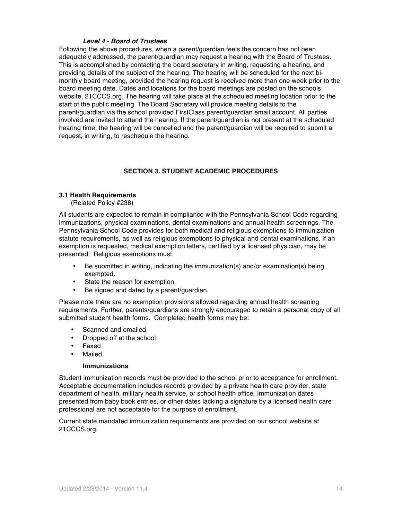#### *Level 4 - Board of Trustees*

Following the above procedures, when a parent/guardian feels the concern has not been adequately addressed, the parent/guardian may request a hearing with the Board of Trustees. This is accomplished by contacting the board secretary in writing, requesting a hearing, and providing details of the subject of the hearing. The hearing will be scheduled for the next bimonthly board meeting, provided the hearing request is received more than one week prior to the board meeting date. Dates and locations for the board meetings are posted on the schools website, 21CCCS.org. The hearing will take place at the scheduled meeting location prior to the start of the public meeting. The Board Secretary will provide meeting details to the parent/guardian via the school provided FirstClass parent/guardian email account. All parties involved are invited to attend the hearing. If the parent/guardian is not present at the scheduled hearing time, the hearing will be cancelled and the parent/guardian will be required to submit a request, in writing, to reschedule the hearing.

#### **SECTION 3. STUDENT ACADEMIC PROCEDURES**

#### **3.1 Health Requirements**

(Related Policy #238)

All students are expected to remain in compliance with the Pennsylvania School Code regarding immunizations, physical examinations, dental examinations and annual health screenings. The Pennsylvania School Code provides for both medical and religious exemptions to immunization statute requirements, as well as religious exemptions to physical and dental examinations. If an exemption is requested, medical exemption letters, certified by a licensed physician, may be presented. Religious exemptions must:

- Be submitted in writing, indicating the immunization(s) and/or examination(s) being exempted.
- State the reason for exemption.
- Be signed and dated by a parent/guardian.

Please note there are no exemption provisions allowed regarding annual health screening requirements. Further, parents/guardians are strongly encouraged to retain a personal copy of all submitted student health forms. Completed health forms may be:

- Scanned and emailed
- Dropped off at the school
- Faxed
- **Mailed**

#### **Immunizations**

Student immunization records must be provided to the school prior to acceptance for enrollment. Acceptable documentation includes records provided by a private health care provider, state department of health, military health service, or school health office. Immunization dates presented from baby book entries, or other dates lacking a signature by a licensed health care professional are not acceptable for the purpose of enrollment.

Current state mandated immunization requirements are provided on our school website at 21CCCS.org.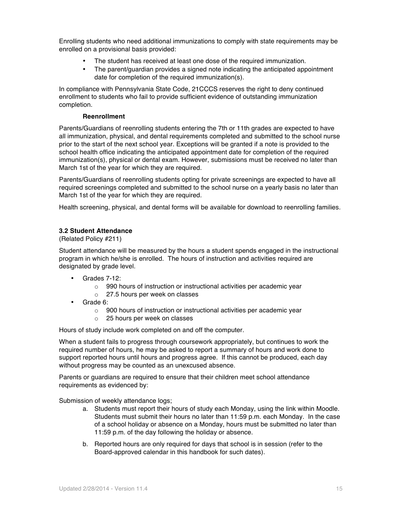Enrolling students who need additional immunizations to comply with state requirements may be enrolled on a provisional basis provided:

- The student has received at least one dose of the required immunization.
- The parent/guardian provides a signed note indicating the anticipated appointment date for completion of the required immunization(s).

In compliance with Pennsylvania State Code, 21CCCS reserves the right to deny continued enrollment to students who fail to provide sufficient evidence of outstanding immunization completion.

#### **Reenrollment**

Parents/Guardians of reenrolling students entering the 7th or 11th grades are expected to have all immunization, physical, and dental requirements completed and submitted to the school nurse prior to the start of the next school year. Exceptions will be granted if a note is provided to the school health office indicating the anticipated appointment date for completion of the required immunization(s), physical or dental exam. However, submissions must be received no later than March 1st of the year for which they are required.

Parents/Guardians of reenrolling students opting for private screenings are expected to have all required screenings completed and submitted to the school nurse on a yearly basis no later than March 1st of the year for which they are required.

Health screening, physical, and dental forms will be available for download to reenrolling families.

#### **3.2 Student Attendance**

#### (Related Policy #211)

Student attendance will be measured by the hours a student spends engaged in the instructional program in which he/she is enrolled. The hours of instruction and activities required are designated by grade level.

- Grades 7-12:
	- o 990 hours of instruction or instructional activities per academic year
	- o 27.5 hours per week on classes
- Grade 6:
	- o 900 hours of instruction or instructional activities per academic year
	- o 25 hours per week on classes

Hours of study include work completed on and off the computer.

When a student fails to progress through coursework appropriately, but continues to work the required number of hours, he may be asked to report a summary of hours and work done to support reported hours until hours and progress agree. If this cannot be produced, each day without progress may be counted as an unexcused absence.

Parents or guardians are required to ensure that their children meet school attendance requirements as evidenced by:

Submission of weekly attendance logs;

- a. Students must report their hours of study each Monday, using the link within Moodle. Students must submit their hours no later than 11:59 p.m. each Monday. In the case of a school holiday or absence on a Monday, hours must be submitted no later than 11:59 p.m. of the day following the holiday or absence.
- b. Reported hours are only required for days that school is in session (refer to the Board-approved calendar in this handbook for such dates).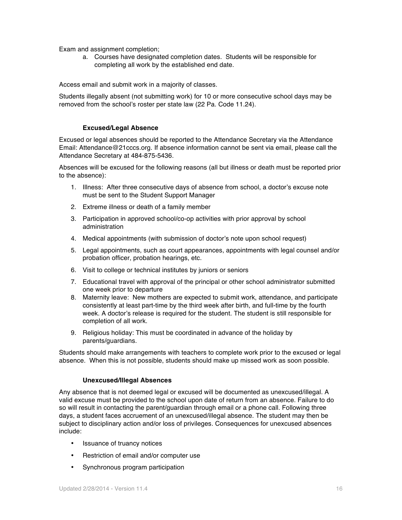Exam and assignment completion;

a. Courses have designated completion dates. Students will be responsible for completing all work by the established end date.

Access email and submit work in a majority of classes.

Students illegally absent (not submitting work) for 10 or more consecutive school days may be removed from the school's roster per state law (22 Pa. Code 11.24).

#### **Excused/Legal Absence**

Excused or legal absences should be reported to the Attendance Secretary via the Attendance Email: Attendance@21cccs.org. If absence information cannot be sent via email, please call the Attendance Secretary at 484-875-5436.

Absences will be excused for the following reasons (all but illness or death must be reported prior to the absence):

- 1. Illness: After three consecutive days of absence from school, a doctor's excuse note must be sent to the Student Support Manager
- 2. Extreme illness or death of a family member
- 3. Participation in approved school/co-op activities with prior approval by school administration
- 4. Medical appointments (with submission of doctor's note upon school request)
- 5. Legal appointments, such as court appearances, appointments with legal counsel and/or probation officer, probation hearings, etc.
- 6. Visit to college or technical institutes by juniors or seniors
- 7. Educational travel with approval of the principal or other school administrator submitted one week prior to departure
- 8. Maternity leave: New mothers are expected to submit work, attendance, and participate consistently at least part-time by the third week after birth, and full-time by the fourth week. A doctor's release is required for the student. The student is still responsible for completion of all work.
- 9. Religious holiday: This must be coordinated in advance of the holiday by parents/guardians.

Students should make arrangements with teachers to complete work prior to the excused or legal absence. When this is not possible, students should make up missed work as soon possible.

#### **Unexcused/Illegal Absences**

Any absence that is not deemed legal or excused will be documented as unexcused/illegal. A valid excuse must be provided to the school upon date of return from an absence. Failure to do so will result in contacting the parent/guardian through email or a phone call. Following three days, a student faces accruement of an unexcused/illegal absence. The student may then be subject to disciplinary action and/or loss of privileges. Consequences for unexcused absences include:

- Issuance of truancy notices
- Restriction of email and/or computer use
- Synchronous program participation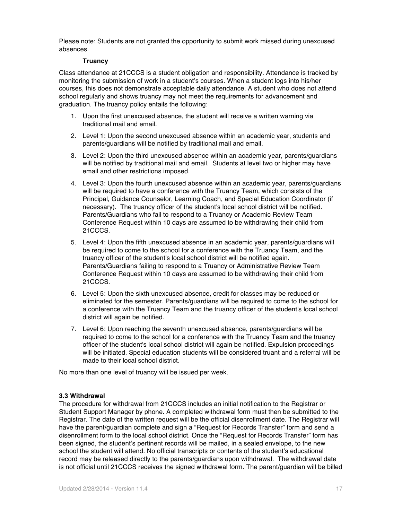Please note: Students are not granted the opportunity to submit work missed during unexcused absences.

#### **Truancy**

Class attendance at 21CCCS is a student obligation and responsibility. Attendance is tracked by monitoring the submission of work in a student's courses. When a student logs into his/her courses, this does not demonstrate acceptable daily attendance. A student who does not attend school regularly and shows truancy may not meet the requirements for advancement and graduation. The truancy policy entails the following:

- 1. Upon the first unexcused absence, the student will receive a written warning via traditional mail and email.
- 2. Level 1: Upon the second unexcused absence within an academic year, students and parents/guardians will be notified by traditional mail and email.
- 3. Level 2: Upon the third unexcused absence within an academic year, parents/guardians will be notified by traditional mail and email. Students at level two or higher may have email and other restrictions imposed.
- 4. Level 3: Upon the fourth unexcused absence within an academic year, parents/guardians will be required to have a conference with the Truancy Team, which consists of the Principal, Guidance Counselor, Learning Coach, and Special Education Coordinator (if necessary). The truancy officer of the student's local school district will be notified. Parents/Guardians who fail to respond to a Truancy or Academic Review Team Conference Request within 10 days are assumed to be withdrawing their child from 21CCCS.
- 5. Level 4: Upon the fifth unexcused absence in an academic year, parents/guardians will be required to come to the school for a conference with the Truancy Team, and the truancy officer of the student's local school district will be notified again. Parents/Guardians failing to respond to a Truancy or Administrative Review Team Conference Request within 10 days are assumed to be withdrawing their child from 21CCCS.
- 6. Level 5: Upon the sixth unexcused absence, credit for classes may be reduced or eliminated for the semester. Parents/guardians will be required to come to the school for a conference with the Truancy Team and the truancy officer of the student's local school district will again be notified.
- 7. Level 6: Upon reaching the seventh unexcused absence, parents/guardians will be required to come to the school for a conference with the Truancy Team and the truancy officer of the student's local school district will again be notified. Expulsion proceedings will be initiated. Special education students will be considered truant and a referral will be made to their local school district.

No more than one level of truancy will be issued per week.

#### **3.3 Withdrawal**

The procedure for withdrawal from 21CCCS includes an initial notification to the Registrar or Student Support Manager by phone. A completed withdrawal form must then be submitted to the Registrar. The date of the written request will be the official disenrollment date. The Registrar will have the parent/guardian complete and sign a "Request for Records Transfer" form and send a disenrollment form to the local school district. Once the "Request for Records Transfer" form has been signed, the student's pertinent records will be mailed, in a sealed envelope, to the new school the student will attend. No official transcripts or contents of the student's educational record may be released directly to the parents/guardians upon withdrawal. The withdrawal date is not official until 21CCCS receives the signed withdrawal form. The parent/guardian will be billed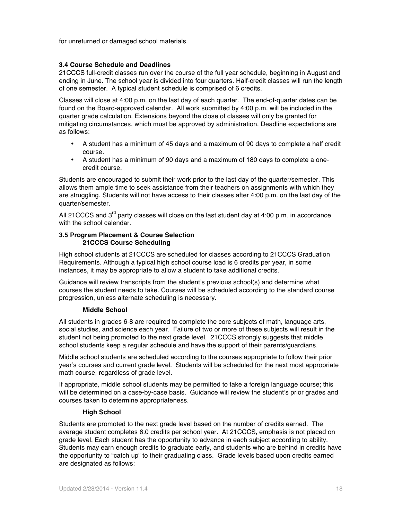for unreturned or damaged school materials.

#### **3.4 Course Schedule and Deadlines**

21CCCS full-credit classes run over the course of the full year schedule, beginning in August and ending in June. The school year is divided into four quarters. Half-credit classes will run the length of one semester. A typical student schedule is comprised of 6 credits.

Classes will close at 4:00 p.m. on the last day of each quarter. The end-of-quarter dates can be found on the Board-approved calendar. All work submitted by 4:00 p.m. will be included in the quarter grade calculation. Extensions beyond the close of classes will only be granted for mitigating circumstances, which must be approved by administration. Deadline expectations are as follows:

- A student has a minimum of 45 days and a maximum of 90 days to complete a half credit course.
- A student has a minimum of 90 days and a maximum of 180 days to complete a onecredit course.

Students are encouraged to submit their work prior to the last day of the quarter/semester. This allows them ample time to seek assistance from their teachers on assignments with which they are struggling. Students will not have access to their classes after 4:00 p.m. on the last day of the quarter/semester.

All 21 CCCS and  $3<sup>rd</sup>$  party classes will close on the last student day at 4:00 p.m. in accordance with the school calendar.

#### **3.5 Program Placement & Course Selection 21CCCS Course Scheduling**

High school students at 21CCCS are scheduled for classes according to 21CCCS Graduation Requirements. Although a typical high school course load is 6 credits per year, in some instances, it may be appropriate to allow a student to take additional credits.

Guidance will review transcripts from the student's previous school(s) and determine what courses the student needs to take. Courses will be scheduled according to the standard course progression, unless alternate scheduling is necessary.

#### **Middle School**

All students in grades 6-8 are required to complete the core subjects of math, language arts, social studies, and science each year. Failure of two or more of these subjects will result in the student not being promoted to the next grade level. 21CCCS strongly suggests that middle school students keep a regular schedule and have the support of their parents/guardians.

Middle school students are scheduled according to the courses appropriate to follow their prior year's courses and current grade level. Students will be scheduled for the next most appropriate math course, regardless of grade level.

If appropriate, middle school students may be permitted to take a foreign language course; this will be determined on a case-by-case basis. Guidance will review the student's prior grades and courses taken to determine appropriateness.

#### **High School**

Students are promoted to the next grade level based on the number of credits earned. The average student completes 6.0 credits per school year. At 21CCCS, emphasis is not placed on grade level. Each student has the opportunity to advance in each subject according to ability. Students may earn enough credits to graduate early, and students who are behind in credits have the opportunity to "catch up" to their graduating class. Grade levels based upon credits earned are designated as follows: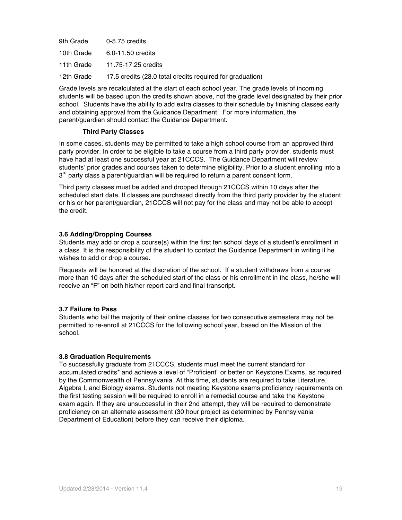| 9th Grade  | $0-5.75$ credits                                          |
|------------|-----------------------------------------------------------|
| 10th Grade | 6.0-11.50 credits                                         |
| 11th Grade | 11.75-17.25 credits                                       |
| 12th Grade | 17.5 credits (23.0 total credits required for graduation) |

Grade levels are recalculated at the start of each school year. The grade levels of incoming students will be based upon the credits shown above, not the grade level designated by their prior school. Students have the ability to add extra classes to their schedule by finishing classes early and obtaining approval from the Guidance Department. For more information, the parent/guardian should contact the Guidance Department.

#### **Third Party Classes**

In some cases, students may be permitted to take a high school course from an approved third party provider. In order to be eligible to take a course from a third party provider, students must have had at least one successful year at 21CCCS. The Guidance Department will review students' prior grades and courses taken to determine eligibility. Prior to a student enrolling into a  $3<sup>rd</sup>$  party class a parent/guardian will be required to return a parent consent form.

Third party classes must be added and dropped through 21CCCS within 10 days after the scheduled start date. If classes are purchased directly from the third party provider by the student or his or her parent/guardian, 21CCCS will not pay for the class and may not be able to accept the credit.

#### **3.6 Adding/Dropping Courses**

Students may add or drop a course(s) within the first ten school days of a student's enrollment in a class. It is the responsibility of the student to contact the Guidance Department in writing if he wishes to add or drop a course.

Requests will be honored at the discretion of the school. If a student withdraws from a course more than 10 days after the scheduled start of the class or his enrollment in the class, he/she will receive an "F" on both his/her report card and final transcript.

#### **3.7 Failure to Pass**

Students who fail the majority of their online classes for two consecutive semesters may not be permitted to re-enroll at 21CCCS for the following school year, based on the Mission of the school.

#### **3.8 Graduation Requirements**

To successfully graduate from 21CCCS, students must meet the current standard for accumulated credits\* and achieve a level of "Proficient" or better on Keystone Exams, as required by the Commonwealth of Pennsylvania. At this time, students are required to take Literature, Algebra I, and Biology exams. Students not meeting Keystone exams proficiency requirements on the first testing session will be required to enroll in a remedial course and take the Keystone exam again. If they are unsuccessful in their 2nd attempt, they will be required to demonstrate proficiency on an alternate assessment (30 hour project as determined by Pennsylvania Department of Education) before they can receive their diploma.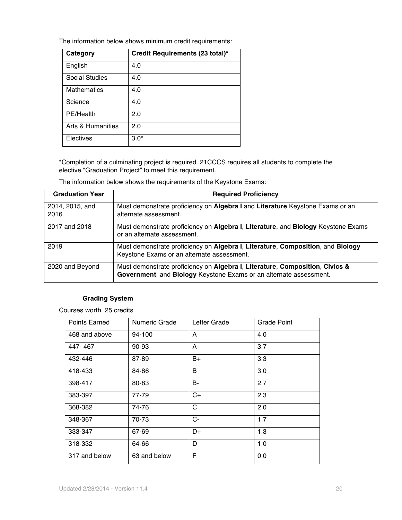The information below shows minimum credit requirements:

| Category                     | Credit Requirements (23 total)* |
|------------------------------|---------------------------------|
| English                      | 4.0                             |
| <b>Social Studies</b>        | 4.0                             |
| <b>Mathematics</b>           | 4.0                             |
| Science                      | 4.0                             |
| PE/Health                    | 2.0                             |
| <b>Arts &amp; Humanities</b> | 2.0                             |
| Electives                    | $3.0*$                          |

\*Completion of a culminating project is required. 21CCCS requires all students to complete the elective "Graduation Project" to meet this requirement.

The information below shows the requirements of the Keystone Exams:

| <b>Graduation Year</b>  | <b>Required Proficiency</b>                                                                                                                        |
|-------------------------|----------------------------------------------------------------------------------------------------------------------------------------------------|
| 2014, 2015, and<br>2016 | Must demonstrate proficiency on Algebra I and Literature Keystone Exams or an<br>alternate assessment.                                             |
| 2017 and 2018           | Must demonstrate proficiency on Algebra I, Literature, and Biology Keystone Exams<br>or an alternate assessment.                                   |
| 2019                    | Must demonstrate proficiency on Algebra I, Literature, Composition, and Biology<br>Keystone Exams or an alternate assessment.                      |
| 2020 and Beyond         | Must demonstrate proficiency on Algebra I, Literature, Composition, Civics &<br>Government, and Biology Keystone Exams or an alternate assessment. |

#### **Grading System**

Courses worth .25 credits

| <b>Points Earned</b> | Numeric Grade | Letter Grade | <b>Grade Point</b> |
|----------------------|---------------|--------------|--------------------|
| 468 and above        | 94-100        | A            | 4.0                |
| 447-467              | 90-93         | A-           | 3.7                |
| 432-446              | 87-89         | B+           | 3.3                |
| 418-433              | 84-86         | B            | 3.0                |
| 398-417              | 80-83         | B-           | 2.7                |
| 383-397              | 77-79         | $C+$         | 2.3                |
| 368-382              | 74-76         | C            | 2.0                |
| 348-367              | 70-73         | $C -$        | 1.7                |
| 333-347              | 67-69         | D+           | 1.3                |
| 318-332              | 64-66         | D            | 1.0                |
| 317 and below        | 63 and below  | F            | 0.0                |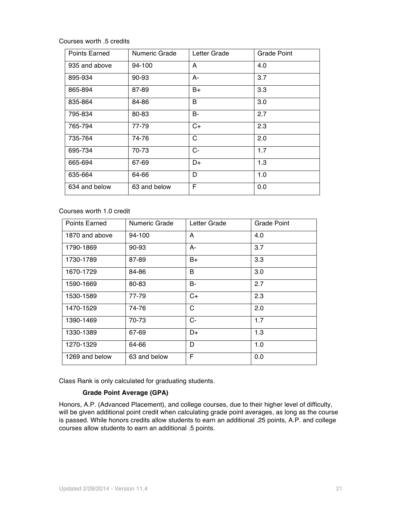Courses worth .5 credits

| <b>Points Earned</b> | Numeric Grade | Letter Grade | <b>Grade Point</b> |
|----------------------|---------------|--------------|--------------------|
| 935 and above        | 94-100        | A            | 4.0                |
| 895-934              | 90-93         | A-           | 3.7                |
| 865-894              | 87-89         | B+           | 3.3                |
| 835-864              | 84-86         | B            | 3.0                |
| 795-834              | 80-83         | B-           | 2.7                |
| 765-794              | 77-79         | $C+$         | 2.3                |
| 735-764              | 74-76         | С            | 2.0                |
| 695-734              | 70-73         | $C-$         | 1.7                |
| 665-694              | 67-69         | D+           | 1.3                |
| 635-664              | 64-66         | D            | 1.0                |
| 634 and below        | 63 and below  | F            | 0.0                |

Courses worth 1.0 credit

| <b>Points Earned</b> | Numeric Grade | Letter Grade | <b>Grade Point</b> |
|----------------------|---------------|--------------|--------------------|
| 1870 and above       | 94-100        | A            | 4.0                |
| 1790-1869            | 90-93         | A-           | 3.7                |
| 1730-1789            | 87-89         | B+           | 3.3                |
| 1670-1729            | 84-86         | B            | 3.0                |
| 1590-1669            | 80-83         | B-           | 2.7                |
| 1530-1589            | 77-79         | $C+$         | 2.3                |
| 1470-1529            | 74-76         | С            | 2.0                |
| 1390-1469            | 70-73         | C-           | 1.7                |
| 1330-1389            | 67-69         | D+           | 1.3                |
| 1270-1329            | 64-66         | D            | 1.0                |
| 1269 and below       | 63 and below  | F            | 0.0                |

Class Rank is only calculated for graduating students.

#### **Grade Point Average (GPA)**

Honors, A.P. (Advanced Placement), and college courses, due to their higher level of difficulty, will be given additional point credit when calculating grade point averages, as long as the course is passed. While honors credits allow students to earn an additional .25 points, A.P. and college courses allow students to earn an additional .5 points.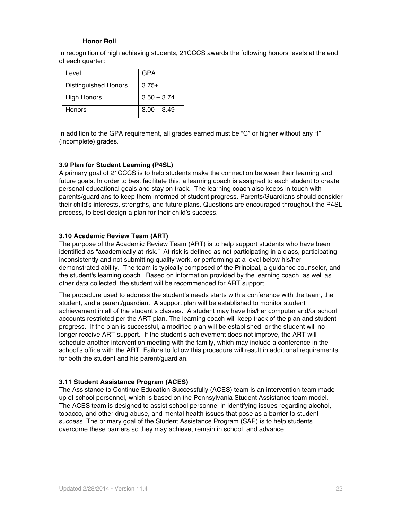#### **Honor Roll**

In recognition of high achieving students, 21CCCS awards the following honors levels at the end of each quarter:

| Level                       | GPA           |
|-----------------------------|---------------|
| <b>Distinguished Honors</b> | $3.75+$       |
| <b>High Honors</b>          | $3.50 - 3.74$ |
| <b>Honors</b>               | $3.00 - 3.49$ |

In addition to the GPA requirement, all grades earned must be "C" or higher without any "I" (incomplete) grades.

#### **3.9 Plan for Student Learning (P4SL)**

A primary goal of 21CCCS is to help students make the connection between their learning and future goals. In order to best facilitate this, a learning coach is assigned to each student to create personal educational goals and stay on track. The learning coach also keeps in touch with parents/guardians to keep them informed of student progress. Parents/Guardians should consider their child's interests, strengths, and future plans. Questions are encouraged throughout the P4SL process, to best design a plan for their child's success.

#### **3.10 Academic Review Team (ART)**

The purpose of the Academic Review Team (ART) is to help support students who have been identified as "academically at-risk." At-risk is defined as not participating in a class, participating inconsistently and not submitting quality work, or performing at a level below his/her demonstrated ability. The team is typically composed of the Principal, a guidance counselor, and the student's learning coach. Based on information provided by the learning coach, as well as other data collected, the student will be recommended for ART support.

The procedure used to address the student's needs starts with a conference with the team, the student, and a parent/guardian. A support plan will be established to monitor student achievement in all of the student's classes. A student may have his/her computer and/or school accounts restricted per the ART plan. The learning coach will keep track of the plan and student progress. If the plan is successful, a modified plan will be established, or the student will no longer receive ART support. If the student's achievement does not improve, the ART will schedule another intervention meeting with the family, which may include a conference in the school's office with the ART. Failure to follow this procedure will result in additional requirements for both the student and his parent/guardian.

#### **3.11 Student Assistance Program (ACES)**

The Assistance to Continue Education Successfully (ACES) team is an intervention team made up of school personnel, which is based on the Pennsylvania Student Assistance team model. The ACES team is designed to assist school personnel in identifying issues regarding alcohol, tobacco, and other drug abuse, and mental health issues that pose as a barrier to student success. The primary goal of the Student Assistance Program (SAP) is to help students overcome these barriers so they may achieve, remain in school, and advance.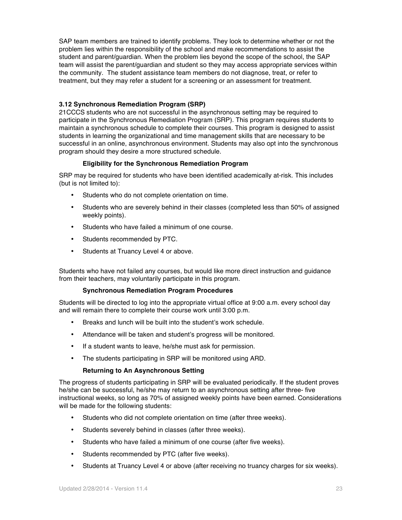SAP team members are trained to identify problems. They look to determine whether or not the problem lies within the responsibility of the school and make recommendations to assist the student and parent/guardian. When the problem lies beyond the scope of the school, the SAP team will assist the parent/guardian and student so they may access appropriate services within the community. The student assistance team members do not diagnose, treat, or refer to treatment, but they may refer a student for a screening or an assessment for treatment.

#### **3.12 Synchronous Remediation Program (SRP)**

21CCCS students who are not successful in the asynchronous setting may be required to participate in the Synchronous Remediation Program (SRP). This program requires students to maintain a synchronous schedule to complete their courses. This program is designed to assist students in learning the organizational and time management skills that are necessary to be successful in an online, asynchronous environment. Students may also opt into the synchronous program should they desire a more structured schedule.

#### **Eligibility for the Synchronous Remediation Program**

SRP may be required for students who have been identified academically at-risk. This includes (but is not limited to):

- Students who do not complete orientation on time.
- Students who are severely behind in their classes (completed less than 50% of assigned weekly points).
- Students who have failed a minimum of one course.
- Students recommended by PTC.
- Students at Truancy Level 4 or above.

Students who have not failed any courses, but would like more direct instruction and guidance from their teachers, may voluntarily participate in this program.

#### **Synchronous Remediation Program Procedures**

Students will be directed to log into the appropriate virtual office at 9:00 a.m. every school day and will remain there to complete their course work until 3:00 p.m.

- Breaks and lunch will be built into the student's work schedule.
- Attendance will be taken and student's progress will be monitored.
- If a student wants to leave, he/she must ask for permission.
- The students participating in SRP will be monitored using ARD.

#### **Returning to An Asynchronous Setting**

The progress of students participating in SRP will be evaluated periodically. If the student proves he/she can be successful, he/she may return to an asynchronous setting after three- five instructional weeks, so long as 70% of assigned weekly points have been earned. Considerations will be made for the following students:

- Students who did not complete orientation on time (after three weeks).
- Students severely behind in classes (after three weeks).
- Students who have failed a minimum of one course (after five weeks).
- Students recommended by PTC (after five weeks).
- Students at Truancy Level 4 or above (after receiving no truancy charges for six weeks).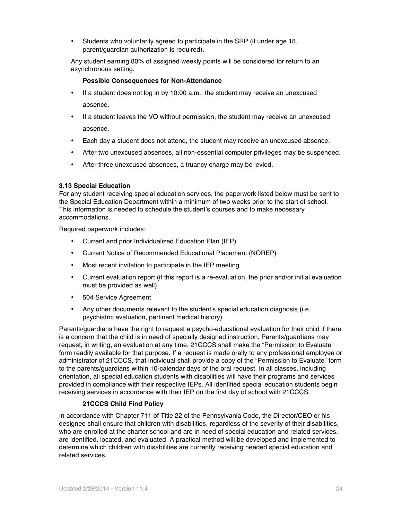• Students who voluntarily agreed to participate in the SRP (if under age 18, parent/guardian authorization is required).

Any student earning 80% of assigned weekly points will be considered for return to an asynchronous setting.

#### **Possible Consequences for Non-Attendance**

- If a student does not log in by 10:00 a.m., the student may receive an unexcused absence.
- If a student leaves the VO without permission, the student may receive an unexcused absence.
- Each day a student does not attend, the student may receive an unexcused absence.
- After two unexcused absences, all non-essential computer privileges may be suspended.
- After three unexcused absences, a truancy charge may be levied.

#### **3.13 Special Education**

For any student receiving special education services, the paperwork listed below must be sent to the Special Education Department within a minimum of two weeks prior to the start of school. This information is needed to schedule the student's courses and to make necessary accommodations.

Required paperwork includes:

- Current and prior Individualized Education Plan (IEP)
- Current Notice of Recommended Educational Placement (NOREP)
- Most recent invitation to participate in the IEP meeting
- Current evaluation report (if this report is a re-evaluation, the prior and/or initial evaluation must be provided as well)
- 504 Service Agreement
- Any other documents relevant to the student's special education diagnosis (i.e. psychiatric evaluation, pertinent medical history)

Parents/guardians have the right to request a psycho-educational evaluation for their child if there is a concern that the child is in need of specially designed instruction. Parents/guardians may request, in writing, an evaluation at any time. 21CCCS shall make the "Permission to Evaluate" form readily available for that purpose. If a request is made orally to any professional employee or administrator of 21CCCS, that individual shall provide a copy of the "Permission to Evaluate" form to the parents/guardians within 10-calendar days of the oral request. In all classes, including orientation, all special education students with disabilities will have their programs and services provided in compliance with their respective IEPs. All identified special education students begin receiving services in accordance with their IEP on the first day of school with 21CCCS.

#### **21CCCS Child Find Policy**

In accordance with Chapter 711 of Title 22 of the Pennsylvania Code, the Director/CEO or his designee shall ensure that children with disabilities, regardless of the severity of their disabilities, who are enrolled at the charter school and are in need of special education and related services, are identified, located, and evaluated. A practical method will be developed and implemented to determine which children with disabilities are currently receiving needed special education and related services.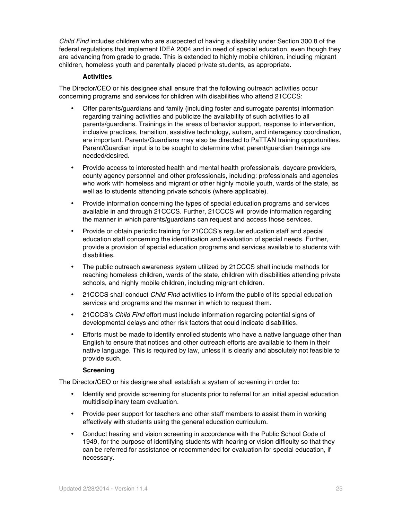*Child Find* includes children who are suspected of having a disability under Section 300.8 of the federal regulations that implement IDEA 2004 and in need of special education, even though they are advancing from grade to grade. This is extended to highly mobile children, including migrant children, homeless youth and parentally placed private students, as appropriate.

#### **Activities**

The Director/CEO or his designee shall ensure that the following outreach activities occur concerning programs and services for children with disabilities who attend 21CCCS:

- Offer parents/guardians and family (including foster and surrogate parents) information regarding training activities and publicize the availability of such activities to all parents/guardians. Trainings in the areas of behavior support, response to intervention, inclusive practices, transition, assistive technology, autism, and interagency coordination, are important. Parents/Guardians may also be directed to PaTTAN training opportunities. Parent/Guardian input is to be sought to determine what parent/guardian trainings are needed/desired.
- Provide access to interested health and mental health professionals, daycare providers, county agency personnel and other professionals, including: professionals and agencies who work with homeless and migrant or other highly mobile youth, wards of the state, as well as to students attending private schools (where applicable).
- Provide information concerning the types of special education programs and services available in and through 21CCCS. Further, 21CCCS will provide information regarding the manner in which parents/guardians can request and access those services.
- Provide or obtain periodic training for 21CCCS's regular education staff and special education staff concerning the identification and evaluation of special needs. Further, provide a provision of special education programs and services available to students with disabilities.
- The public outreach awareness system utilized by 21CCCS shall include methods for reaching homeless children, wards of the state, children with disabilities attending private schools, and highly mobile children, including migrant children.
- 21CCCS shall conduct *Child Find* activities to inform the public of its special education services and programs and the manner in which to request them.
- 21CCCS's *Child Find* effort must include information regarding potential signs of developmental delays and other risk factors that could indicate disabilities.
- Efforts must be made to identify enrolled students who have a native language other than English to ensure that notices and other outreach efforts are available to them in their native language. This is required by law, unless it is clearly and absolutely not feasible to provide such.

#### **Screening**

The Director/CEO or his designee shall establish a system of screening in order to:

- Identify and provide screening for students prior to referral for an initial special education multidisciplinary team evaluation.
- Provide peer support for teachers and other staff members to assist them in working effectively with students using the general education curriculum.
- Conduct hearing and vision screening in accordance with the Public School Code of 1949, for the purpose of identifying students with hearing or vision difficulty so that they can be referred for assistance or recommended for evaluation for special education, if necessary.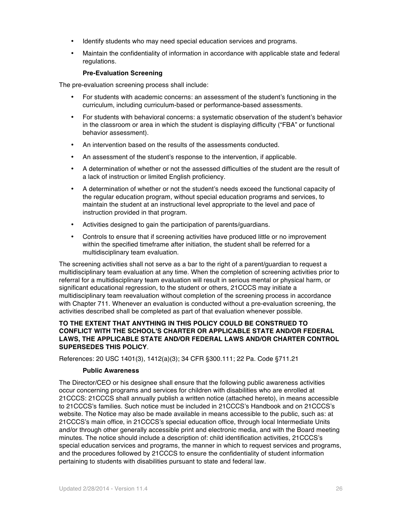- Identify students who may need special education services and programs.
- Maintain the confidentiality of information in accordance with applicable state and federal regulations.

#### **Pre-Evaluation Screening**

The pre-evaluation screening process shall include:

- For students with academic concerns: an assessment of the student's functioning in the curriculum, including curriculum-based or performance-based assessments.
- For students with behavioral concerns: a systematic observation of the student's behavior in the classroom or area in which the student is displaying difficulty ("FBA" or functional behavior assessment).
- An intervention based on the results of the assessments conducted.
- An assessment of the student's response to the intervention, if applicable.
- A determination of whether or not the assessed difficulties of the student are the result of a lack of instruction or limited English proficiency.
- A determination of whether or not the student's needs exceed the functional capacity of the regular education program, without special education programs and services, to maintain the student at an instructional level appropriate to the level and pace of instruction provided in that program.
- Activities designed to gain the participation of parents/guardians.
- Controls to ensure that if screening activities have produced little or no improvement within the specified timeframe after initiation, the student shall be referred for a multidisciplinary team evaluation.

The screening activities shall not serve as a bar to the right of a parent/guardian to request a multidisciplinary team evaluation at any time. When the completion of screening activities prior to referral for a multidisciplinary team evaluation will result in serious mental or physical harm, or significant educational regression, to the student or others, 21CCCS may initiate a multidisciplinary team reevaluation without completion of the screening process in accordance with Chapter 711. Whenever an evaluation is conducted without a pre-evaluation screening, the activities described shall be completed as part of that evaluation whenever possible.

#### **TO THE EXTENT THAT ANYTHING IN THIS POLICY COULD BE CONSTRUED TO CONFLICT WITH THE SCHOOL'S CHARTER OR APPLICABLE STATE AND/OR FEDERAL LAWS, THE APPLICABLE STATE AND/OR FEDERAL LAWS AND/OR CHARTER CONTROL SUPERSEDES THIS POLICY**.

References: 20 USC 1401(3), 1412(a)(3); 34 CFR §300.111; 22 Pa. Code §711.21

#### **Public Awareness**

The Director/CEO or his designee shall ensure that the following public awareness activities occur concerning programs and services for children with disabilities who are enrolled at 21CCCS: 21CCCS shall annually publish a written notice (attached hereto), in means accessible to 21CCCS's families. Such notice must be included in 21CCCS's Handbook and on 21CCCS's website. The Notice may also be made available in means accessible to the public, such as: at 21CCCS's main office, in 21CCCS's special education office, through local Intermediate Units and/or through other generally accessible print and electronic media, and with the Board meeting minutes. The notice should include a description of: child identification activities, 21CCCS's special education services and programs, the manner in which to request services and programs, and the procedures followed by 21CCCS to ensure the confidentiality of student information pertaining to students with disabilities pursuant to state and federal law.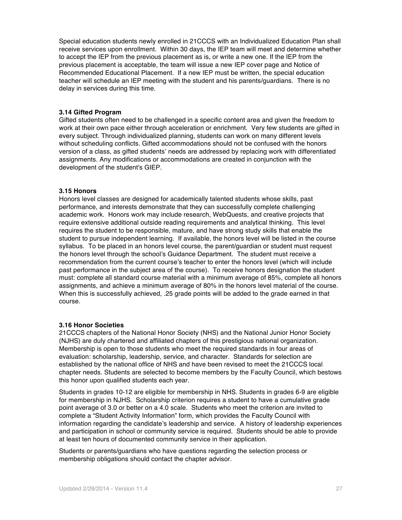Special education students newly enrolled in 21CCCS with an Individualized Education Plan shall receive services upon enrollment. Within 30 days, the IEP team will meet and determine whether to accept the IEP from the previous placement as is, or write a new one. If the IEP from the previous placement is acceptable, the team will issue a new IEP cover page and Notice of Recommended Educational Placement. If a new IEP must be written, the special education teacher will schedule an IEP meeting with the student and his parents/guardians. There is no delay in services during this time.

#### **3.14 Gifted Program**

Gifted students often need to be challenged in a specific content area and given the freedom to work at their own pace either through acceleration or enrichment. Very few students are gifted in every subject. Through individualized planning, students can work on many different levels without scheduling conflicts. Gifted accommodations should not be confused with the honors version of a class, as gifted students' needs are addressed by replacing work with differentiated assignments. Any modifications or accommodations are created in conjunction with the development of the student's GIEP.

#### **3.15 Honors**

Honors level classes are designed for academically talented students whose skills, past performance, and interests demonstrate that they can successfully complete challenging academic work. Honors work may include research, WebQuests, and creative projects that require extensive additional outside reading requirements and analytical thinking. This level requires the student to be responsible, mature, and have strong study skills that enable the student to pursue independent learning. If available, the honors level will be listed in the course syllabus. To be placed in an honors level course, the parent/guardian or student must request the honors level through the school's Guidance Department. The student must receive a recommendation from the current course's teacher to enter the honors level (which will include past performance in the subject area of the course). To receive honors designation the student must: complete all standard course material with a minimum average of 85%, complete all honors assignments, and achieve a minimum average of 80% in the honors level material of the course. When this is successfully achieved, .25 grade points will be added to the grade earned in that course.

#### **3.16 Honor Societies**

21CCCS chapters of the National Honor Society (NHS) and the National Junior Honor Society (NJHS) are duly chartered and affiliated chapters of this prestigious national organization. Membership is open to those students who meet the required standards in four areas of evaluation: scholarship, leadership, service, and character. Standards for selection are established by the national office of NHS and have been revised to meet the 21CCCS local chapter needs. Students are selected to become members by the Faculty Council, which bestows this honor upon qualified students each year.

Students in grades 10-12 are eligible for membership in NHS. Students in grades 6-9 are eligible for membership in NJHS. Scholarship criterion requires a student to have a cumulative grade point average of 3.0 or better on a 4.0 scale. Students who meet the criterion are invited to complete a "Student Activity Information" form, which provides the Faculty Council with information regarding the candidate's leadership and service. A history of leadership experiences and participation in school or community service is required. Students should be able to provide at least ten hours of documented community service in their application.

Students or parents/guardians who have questions regarding the selection process or membership obligations should contact the chapter advisor.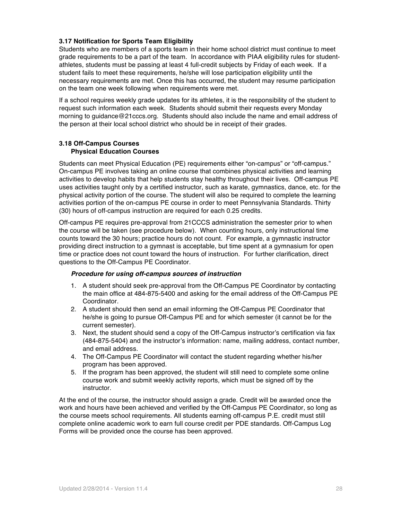#### **3.17 Notification for Sports Team Eligibility**

Students who are members of a sports team in their home school district must continue to meet grade requirements to be a part of the team. In accordance with PIAA eligibility rules for studentathletes, students must be passing at least 4 full-credit subjects by Friday of each week. If a student fails to meet these requirements, he/she will lose participation eligibility until the necessary requirements are met. Once this has occurred, the student may resume participation on the team one week following when requirements were met.

If a school requires weekly grade updates for its athletes, it is the responsibility of the student to request such information each week. Students should submit their requests every Monday morning to guidance@21cccs.org. Students should also include the name and email address of the person at their local school district who should be in receipt of their grades.

#### **3.18 Off-Campus Courses Physical Education Courses**

Students can meet Physical Education (PE) requirements either "on-campus" or "off-campus." On-campus PE involves taking an online course that combines physical activities and learning activities to develop habits that help students stay healthy throughout their lives. Off-campus PE uses activities taught only by a certified instructor, such as karate, gymnastics, dance, etc. for the physical activity portion of the course. The student will also be required to complete the learning activities portion of the on-campus PE course in order to meet Pennsylvania Standards. Thirty (30) hours of off-campus instruction are required for each 0.25 credits.

Off-campus PE requires pre-approval from 21CCCS administration the semester prior to when the course will be taken (see procedure below). When counting hours, only instructional time counts toward the 30 hours; practice hours do not count. For example, a gymnastic instructor providing direct instruction to a gymnast is acceptable, but time spent at a gymnasium for open time or practice does not count toward the hours of instruction. For further clarification, direct questions to the Off-Campus PE Coordinator.

#### *Procedure for using off-campus sources of instruction*

- 1. A student should seek pre-approval from the Off-Campus PE Coordinator by contacting the main office at 484-875-5400 and asking for the email address of the Off-Campus PE Coordinator.
- 2. A student should then send an email informing the Off-Campus PE Coordinator that he/she is going to pursue Off-Campus PE and for which semester (it cannot be for the current semester).
- 3. Next, the student should send a copy of the Off-Campus instructor's certification via fax (484-875-5404) and the instructor's information: name, mailing address, contact number, and email address.
- 4. The Off-Campus PE Coordinator will contact the student regarding whether his/her program has been approved.
- 5. If the program has been approved, the student will still need to complete some online course work and submit weekly activity reports, which must be signed off by the instructor.

At the end of the course, the instructor should assign a grade. Credit will be awarded once the work and hours have been achieved and verified by the Off-Campus PE Coordinator, so long as the course meets school requirements. All students earning off-campus P.E. credit must still complete online academic work to earn full course credit per PDE standards. Off-Campus Log Forms will be provided once the course has been approved.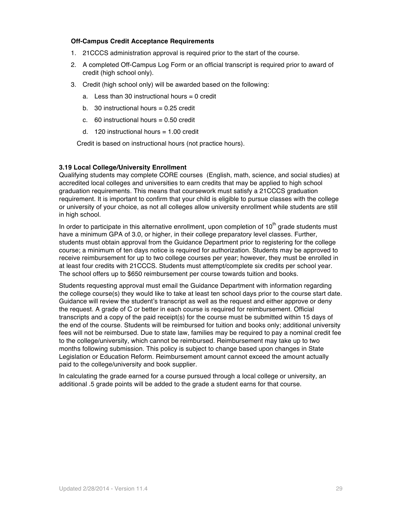#### **Off-Campus Credit Acceptance Requirements**

- 1. 21CCCS administration approval is required prior to the start of the course.
- 2. A completed Off-Campus Log Form or an official transcript is required prior to award of credit (high school only).
- 3. Credit (high school only) will be awarded based on the following:
	- a. Less than 30 instructional hours = 0 credit
	- b. 30 instructional hours  $= 0.25$  credit
	- c. 60 instructional hours = 0.50 credit
	- d. 120 instructional hours  $= 1.00$  credit

Credit is based on instructional hours (not practice hours).

#### **3.19 Local College/University Enrollment**

Qualifying students may complete CORE courses (English, math, science, and social studies) at accredited local colleges and universities to earn credits that may be applied to high school graduation requirements. This means that coursework must satisfy a 21CCCS graduation requirement. It is important to confirm that your child is eligible to pursue classes with the college or university of your choice, as not all colleges allow university enrollment while students are still in high school.

In order to participate in this alternative enrollment, upon completion of  $10<sup>th</sup>$  grade students must have a minimum GPA of 3.0, or higher, in their college preparatory level classes. Further, students must obtain approval from the Guidance Department prior to registering for the college course; a minimum of ten days notice is required for authorization. Students may be approved to receive reimbursement for up to two college courses per year; however, they must be enrolled in at least four credits with 21CCCS. Students must attempt/complete six credits per school year. The school offers up to \$650 reimbursement per course towards tuition and books.

Students requesting approval must email the Guidance Department with information regarding the college course(s) they would like to take at least ten school days prior to the course start date. Guidance will review the student's transcript as well as the request and either approve or deny the request. A grade of C or better in each course is required for reimbursement. Official transcripts and a copy of the paid receipt(s) for the course must be submitted within 15 days of the end of the course. Students will be reimbursed for tuition and books only; additional university fees will not be reimbursed. Due to state law, families may be required to pay a nominal credit fee to the college/university, which cannot be reimbursed. Reimbursement may take up to two months following submission. This policy is subject to change based upon changes in State Legislation or Education Reform. Reimbursement amount cannot exceed the amount actually paid to the college/university and book supplier.

In calculating the grade earned for a course pursued through a local college or university, an additional .5 grade points will be added to the grade a student earns for that course.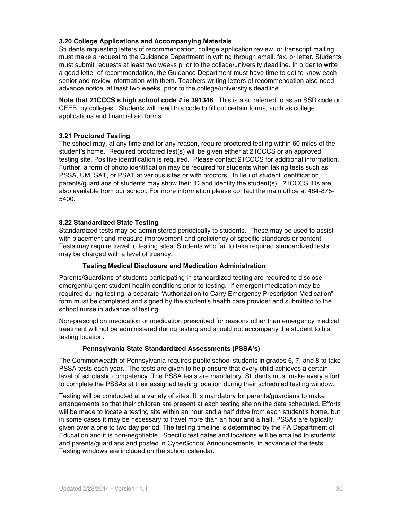#### **3.20 College Applications and Accompanying Materials**

Students requesting letters of recommendation, college application review, or transcript mailing must make a request to the Guidance Department in writing through email, fax, or letter. Students must submit requests at least two weeks prior to the college/university deadline. In order to write a good letter of recommendation, the Guidance Department must have time to get to know each senior and review information with them. Teachers writing letters of recommendation also need advance notice, at least two weeks, prior to the college/university's deadline.

**Note that 21CCCS's high school code # is 391348**. This is also referred to as an SSD code or CEEB, by colleges. Students will need this code to fill out certain forms, such as college applications and financial aid forms.

#### **3.21 Proctored Testing**

The school may, at any time and for any reason, require proctored testing within 60 miles of the student's home. Required proctored test(s) will be given either at 21CCCS or an approved testing site. Positive identification is required. Please contact 21CCCS for additional information. Further, a form of photo identification may be required for students when taking tests such as PSSA, UM, SAT, or PSAT at various sites or with proctors. In lieu of student identification, parents/guardians of students may show their ID and identify the student(s). 21CCCS IDs are also available from our school. For more information please contact the main office at 484-875- 5400.

#### **3.22 Standardized State Testing**

Standardized tests may be administered periodically to students. These may be used to assist with placement and measure improvement and proficiency of specific standards or content. Tests may require travel to testing sites. Students who fail to take required standardized tests may be charged with a level of truancy.

#### **Testing Medical Disclosure and Medication Administration**

Parents/Guardians of students participating in standardized testing are required to disclose emergent/urgent student health conditions prior to testing. If emergent medication may be required during testing, a separate "Authorization to Carry Emergency Prescription Medication" form must be completed and signed by the student's health care provider and submitted to the school nurse in advance of testing.

Non-prescription medication or medication prescribed for reasons other than emergency medical treatment will not be administered during testing and should not accompany the student to his testing location.

#### **Pennsylvania State Standardized Assessments (PSSA's)**

The Commonwealth of Pennsylvania requires public school students in grades 6, 7, and 8 to take PSSA tests each year. The tests are given to help ensure that every child achieves a certain level of scholastic competency. The PSSA tests are mandatory. Students must make every effort to complete the PSSAs at their assigned testing location during their scheduled testing window.

Testing will be conducted at a variety of sites. It is mandatory for parents/guardians to make arrangements so that their children are present at each testing site on the date scheduled. Efforts will be made to locate a testing site within an hour and a half drive from each student's home, but in some cases it may be necessary to travel more than an hour and a half. PSSAs are typically given over a one to two day period. The testing timeline is determined by the PA Department of Education and it is non-negotiable. Specific test dates and locations will be emailed to students and parents/guardians and posted in CyberSchool Announcements, in advance of the tests. Testing windows are included on the school calendar.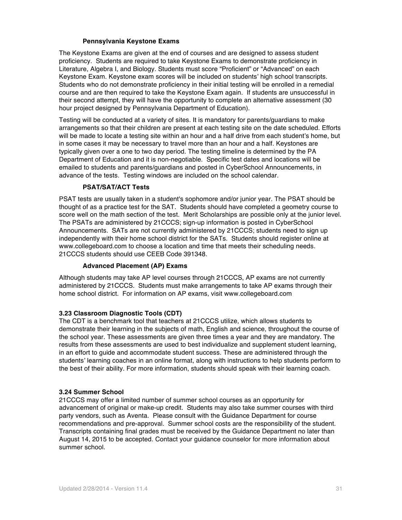#### **Pennsylvania Keystone Exams**

The Keystone Exams are given at the end of courses and are designed to assess student proficiency. Students are required to take Keystone Exams to demonstrate proficiency in Literature, Algebra I, and Biology. Students must score "Proficient" or "Advanced" on each Keystone Exam. Keystone exam scores will be included on students' high school transcripts. Students who do not demonstrate proficiency in their initial testing will be enrolled in a remedial course and are then required to take the Keystone Exam again. If students are unsuccessful in their second attempt, they will have the opportunity to complete an alternative assessment (30 hour project designed by Pennsylvania Department of Education).

Testing will be conducted at a variety of sites. It is mandatory for parents/guardians to make arrangements so that their children are present at each testing site on the date scheduled. Efforts will be made to locate a testing site within an hour and a half drive from each student's home, but in some cases it may be necessary to travel more than an hour and a half. Keystones are typically given over a one to two day period. The testing timeline is determined by the PA Department of Education and it is non-negotiable. Specific test dates and locations will be emailed to students and parents/guardians and posted in CyberSchool Announcements, in advance of the tests. Testing windows are included on the school calendar.

#### **PSAT/SAT/ACT Tests**

PSAT tests are usually taken in a student's sophomore and/or junior year. The PSAT should be thought of as a practice test for the SAT. Students should have completed a geometry course to score well on the math section of the test. Merit Scholarships are possible only at the junior level. The PSATs are administered by 21CCCS; sign-up information is posted in CyberSchool Announcements. SATs are not currently administered by 21CCCS; students need to sign up independently with their home school district for the SATs. Students should register online at www.collegeboard.com to choose a location and time that meets their scheduling needs. 21CCCS students should use CEEB Code 391348.

#### **Advanced Placement (AP) Exams**

Although students may take AP level courses through 21CCCS, AP exams are not currently administered by 21CCCS. Students must make arrangements to take AP exams through their home school district. For information on AP exams, visit www.collegeboard.com

#### **3.23 Classroom Diagnostic Tools (CDT)**

The CDT is a benchmark tool that teachers at 21CCCS utilize, which allows students to demonstrate their learning in the subjects of math, English and science, throughout the course of the school year. These assessments are given three times a year and they are mandatory. The results from these assessments are used to best individualize and supplement student learning, in an effort to guide and accommodate student success. These are administered through the students' learning coaches in an online format, along with instructions to help students perform to the best of their ability. For more information, students should speak with their learning coach.

#### **3.24 Summer School**

21CCCS may offer a limited number of summer school courses as an opportunity for advancement of original or make-up credit. Students may also take summer courses with third party vendors, such as Aventa. Please consult with the Guidance Department for course recommendations and pre-approval. Summer school costs are the responsibility of the student. Transcripts containing final grades must be received by the Guidance Department no later than August 14, 2015 to be accepted. Contact your guidance counselor for more information about summer school.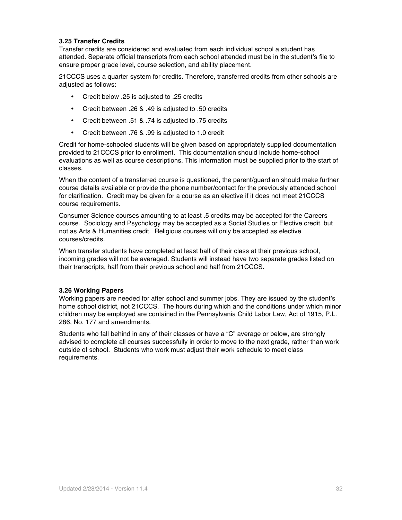#### **3.25 Transfer Credits**

Transfer credits are considered and evaluated from each individual school a student has attended. Separate official transcripts from each school attended must be in the student's file to ensure proper grade level, course selection, and ability placement.

21CCCS uses a quarter system for credits. Therefore, transferred credits from other schools are adjusted as follows:

- Credit below .25 is adjusted to .25 credits
- Credit between .26 & .49 is adjusted to .50 credits
- Credit between .51 & .74 is adjusted to .75 credits
- Credit between .76 & .99 is adjusted to 1.0 credit

Credit for home-schooled students will be given based on appropriately supplied documentation provided to 21CCCS prior to enrollment. This documentation should include home-school evaluations as well as course descriptions. This information must be supplied prior to the start of classes.

When the content of a transferred course is questioned, the parent/guardian should make further course details available or provide the phone number/contact for the previously attended school for clarification. Credit may be given for a course as an elective if it does not meet 21CCCS course requirements.

Consumer Science courses amounting to at least .5 credits may be accepted for the Careers course. Sociology and Psychology may be accepted as a Social Studies or Elective credit, but not as Arts & Humanities credit. Religious courses will only be accepted as elective courses/credits.

When transfer students have completed at least half of their class at their previous school, incoming grades will not be averaged. Students will instead have two separate grades listed on their transcripts, half from their previous school and half from 21CCCS.

#### **3.26 Working Papers**

Working papers are needed for after school and summer jobs. They are issued by the student's home school district, not 21CCCS. The hours during which and the conditions under which minor children may be employed are contained in the Pennsylvania Child Labor Law, Act of 1915, P.L. 286, No. 177 and amendments.

Students who fall behind in any of their classes or have a "C" average or below, are strongly advised to complete all courses successfully in order to move to the next grade, rather than work outside of school. Students who work must adjust their work schedule to meet class requirements.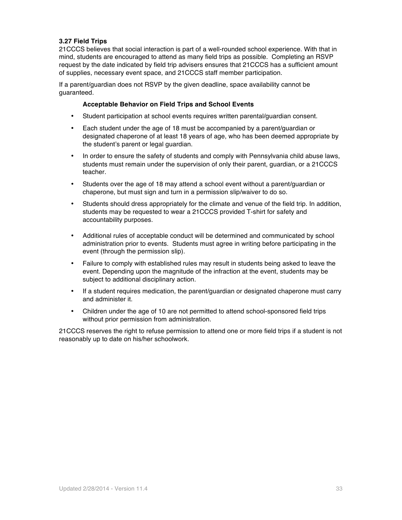#### **3.27 Field Trips**

21CCCS believes that social interaction is part of a well-rounded school experience. With that in mind, students are encouraged to attend as many field trips as possible. Completing an RSVP request by the date indicated by field trip advisers ensures that 21CCCS has a sufficient amount of supplies, necessary event space, and 21CCCS staff member participation.

If a parent/guardian does not RSVP by the given deadline, space availability cannot be guaranteed.

#### **Acceptable Behavior on Field Trips and School Events**

- Student participation at school events requires written parental/guardian consent.
- Each student under the age of 18 must be accompanied by a parent/guardian or designated chaperone of at least 18 years of age, who has been deemed appropriate by the student's parent or legal guardian.
- In order to ensure the safety of students and comply with Pennsylvania child abuse laws, students must remain under the supervision of only their parent, guardian, or a 21CCCS teacher.
- Students over the age of 18 may attend a school event without a parent/guardian or chaperone, but must sign and turn in a permission slip/waiver to do so.
- Students should dress appropriately for the climate and venue of the field trip. In addition, students may be requested to wear a 21CCCS provided T-shirt for safety and accountability purposes.
- Additional rules of acceptable conduct will be determined and communicated by school administration prior to events. Students must agree in writing before participating in the event (through the permission slip).
- Failure to comply with established rules may result in students being asked to leave the event. Depending upon the magnitude of the infraction at the event, students may be subject to additional disciplinary action.
- If a student requires medication, the parent/guardian or designated chaperone must carry and administer it.
- Children under the age of 10 are not permitted to attend school-sponsored field trips without prior permission from administration.

21CCCS reserves the right to refuse permission to attend one or more field trips if a student is not reasonably up to date on his/her schoolwork.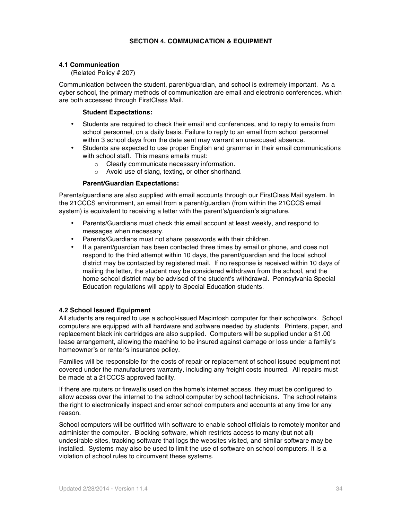#### **SECTION 4. COMMUNICATION & EQUIPMENT**

#### **4.1 Communication**

#### (Related Policy # 207)

Communication between the student, parent/guardian, and school is extremely important. As a cyber school, the primary methods of communication are email and electronic conferences, which are both accessed through FirstClass Mail.

#### **Student Expectations:**

- Students are required to check their email and conferences, and to reply to emails from school personnel, on a daily basis. Failure to reply to an email from school personnel within 3 school days from the date sent may warrant an unexcused absence.
- Students are expected to use proper English and grammar in their email communications with school staff. This means emails must:
	- o Clearly communicate necessary information.
	- o Avoid use of slang, texting, or other shorthand.

#### **Parent/Guardian Expectations:**

Parents/guardians are also supplied with email accounts through our FirstClass Mail system. In the 21CCCS environment, an email from a parent/guardian (from within the 21CCCS email system) is equivalent to receiving a letter with the parent's/guardian's signature.

- Parents/Guardians must check this email account at least weekly, and respond to messages when necessary.
- Parents/Guardians must not share passwords with their children.
- If a parent/guardian has been contacted three times by email or phone, and does not respond to the third attempt within 10 days, the parent/guardian and the local school district may be contacted by registered mail. If no response is received within 10 days of mailing the letter, the student may be considered withdrawn from the school, and the home school district may be advised of the student's withdrawal. Pennsylvania Special Education regulations will apply to Special Education students.

#### **4.2 School Issued Equipment**

All students are required to use a school-issued Macintosh computer for their schoolwork. School computers are equipped with all hardware and software needed by students. Printers, paper, and replacement black ink cartridges are also supplied. Computers will be supplied under a \$1.00 lease arrangement, allowing the machine to be insured against damage or loss under a family's homeowner's or renter's insurance policy.

Families will be responsible for the costs of repair or replacement of school issued equipment not covered under the manufacturers warranty, including any freight costs incurred. All repairs must be made at a 21CCCS approved facility.

If there are routers or firewalls used on the home's internet access, they must be configured to allow access over the internet to the school computer by school technicians. The school retains the right to electronically inspect and enter school computers and accounts at any time for any reason.

School computers will be outfitted with software to enable school officials to remotely monitor and administer the computer. Blocking software, which restricts access to many (but not all) undesirable sites, tracking software that logs the websites visited, and similar software may be installed. Systems may also be used to limit the use of software on school computers. It is a violation of school rules to circumvent these systems.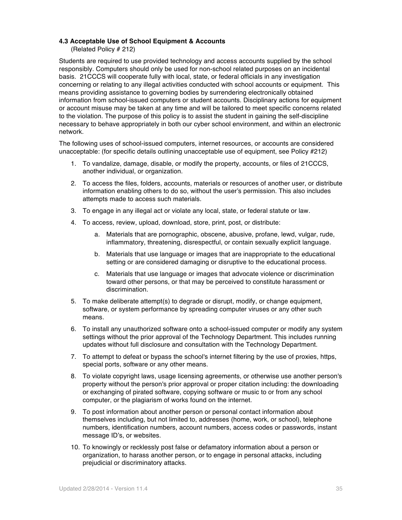#### **4.3 Acceptable Use of School Equipment & Accounts**

(Related Policy # 212)

Students are required to use provided technology and access accounts supplied by the school responsibly. Computers should only be used for non-school related purposes on an incidental basis. 21CCCS will cooperate fully with local, state, or federal officials in any investigation concerning or relating to any illegal activities conducted with school accounts or equipment. This means providing assistance to governing bodies by surrendering electronically obtained information from school-issued computers or student accounts. Disciplinary actions for equipment or account misuse may be taken at any time and will be tailored to meet specific concerns related to the violation. The purpose of this policy is to assist the student in gaining the self-discipline necessary to behave appropriately in both our cyber school environment, and within an electronic network.

The following uses of school-issued computers, internet resources, or accounts are considered unacceptable: (for specific details outlining unacceptable use of equipment, see Policy #212)

- 1. To vandalize, damage, disable, or modify the property, accounts, or files of 21CCCS, another individual, or organization.
- 2. To access the files, folders, accounts, materials or resources of another user, or distribute information enabling others to do so, without the user's permission. This also includes attempts made to access such materials.
- 3. To engage in any illegal act or violate any local, state, or federal statute or law.
- 4. To access, review, upload, download, store, print, post, or distribute:
	- a. Materials that are pornographic, obscene, abusive, profane, lewd, vulgar, rude, inflammatory, threatening, disrespectful, or contain sexually explicit language.
	- b. Materials that use language or images that are inappropriate to the educational setting or are considered damaging or disruptive to the educational process.
	- c. Materials that use language or images that advocate violence or discrimination toward other persons, or that may be perceived to constitute harassment or discrimination.
- 5. To make deliberate attempt(s) to degrade or disrupt, modify, or change equipment, software, or system performance by spreading computer viruses or any other such means.
- 6. To install any unauthorized software onto a school-issued computer or modify any system settings without the prior approval of the Technology Department. This includes running updates without full disclosure and consultation with the Technology Department.
- 7. To attempt to defeat or bypass the school's internet filtering by the use of proxies, https, special ports, software or any other means.
- 8. To violate copyright laws, usage licensing agreements, or otherwise use another person's property without the person's prior approval or proper citation including: the downloading or exchanging of pirated software, copying software or music to or from any school computer, or the plagiarism of works found on the internet.
- 9. To post information about another person or personal contact information about themselves including, but not limited to, addresses (home, work, or school), telephone numbers, identification numbers, account numbers, access codes or passwords, instant message ID's, or websites.
- 10. To knowingly or recklessly post false or defamatory information about a person or organization, to harass another person, or to engage in personal attacks, including prejudicial or discriminatory attacks.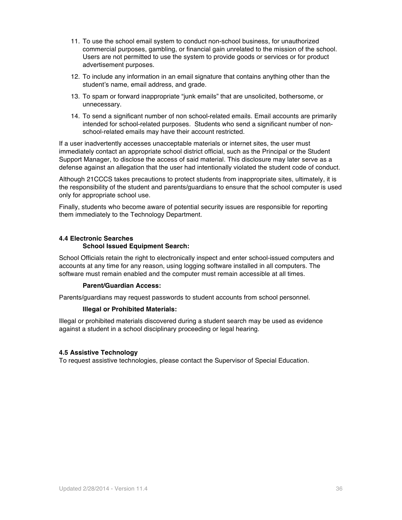- 11. To use the school email system to conduct non-school business, for unauthorized commercial purposes, gambling, or financial gain unrelated to the mission of the school. Users are not permitted to use the system to provide goods or services or for product advertisement purposes.
- 12. To include any information in an email signature that contains anything other than the student's name, email address, and grade.
- 13. To spam or forward inappropriate "junk emails" that are unsolicited, bothersome, or unnecessary.
- 14. To send a significant number of non school-related emails. Email accounts are primarily intended for school-related purposes. Students who send a significant number of nonschool-related emails may have their account restricted.

If a user inadvertently accesses unacceptable materials or internet sites, the user must immediately contact an appropriate school district official, such as the Principal or the Student Support Manager, to disclose the access of said material. This disclosure may later serve as a defense against an allegation that the user had intentionally violated the student code of conduct.

Although 21CCCS takes precautions to protect students from inappropriate sites, ultimately, it is the responsibility of the student and parents/guardians to ensure that the school computer is used only for appropriate school use.

Finally, students who become aware of potential security issues are responsible for reporting them immediately to the Technology Department.

#### **4.4 Electronic Searches School Issued Equipment Search:**

School Officials retain the right to electronically inspect and enter school-issued computers and accounts at any time for any reason, using logging software installed in all computers. The software must remain enabled and the computer must remain accessible at all times.

#### **Parent/Guardian Access:**

Parents/guardians may request passwords to student accounts from school personnel.

#### **Illegal or Prohibited Materials:**

Illegal or prohibited materials discovered during a student search may be used as evidence against a student in a school disciplinary proceeding or legal hearing.

#### **4.5 Assistive Technology**

To request assistive technologies, please contact the Supervisor of Special Education.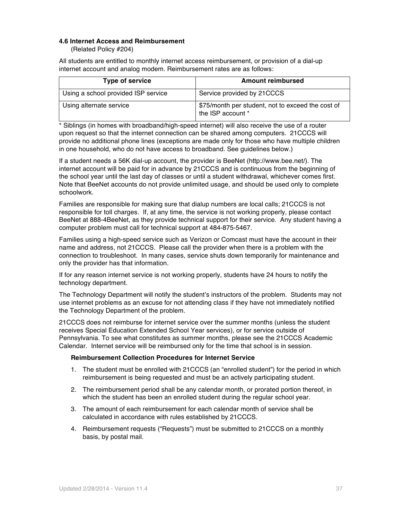#### **4.6 Internet Access and Reimbursement**

(Related Policy #204)

All students are entitled to monthly internet access reimbursement, or provision of a dial-up internet account and analog modem. Reimbursement rates are as follows:

| Type of service                     | <b>Amount reimbursed</b>                                               |
|-------------------------------------|------------------------------------------------------------------------|
| Using a school provided ISP service | Service provided by 21CCCS                                             |
| Using alternate service             | \$75/month per student, not to exceed the cost of<br>the ISP account * |

\* Siblings (in homes with broadband/high-speed internet) will also receive the use of a router upon request so that the internet connection can be shared among computers. 21CCCS will provide no additional phone lines (exceptions are made only for those who have multiple children in one household, who do not have access to broadband. See guidelines below.)

If a student needs a 56K dial-up account, the provider is BeeNet (http://www.bee.net/). The internet account will be paid for in advance by 21CCCS and is continuous from the beginning of the school year until the last day of classes or until a student withdrawal, whichever comes first. Note that BeeNet accounts do not provide unlimited usage, and should be used only to complete schoolwork.

Families are responsible for making sure that dialup numbers are local calls; 21CCCS is not responsible for toll charges. If, at any time, the service is not working properly, please contact BeeNet at 888-4BeeNet, as they provide technical support for their service. Any student having a computer problem must call for technical support at 484-875-5467.

Families using a high-speed service such as Verizon or Comcast must have the account in their name and address, not 21CCCS. Please call the provider when there is a problem with the connection to troubleshoot. In many cases, service shuts down temporarily for maintenance and only the provider has that information.

If for any reason internet service is not working properly, students have 24 hours to notify the technology department.

The Technology Department will notify the student's instructors of the problem. Students may not use internet problems as an excuse for not attending class if they have not immediately notified the Technology Department of the problem.

21CCCS does not reimburse for internet service over the summer months (unless the student receives Special Education Extended School Year services), or for service outside of Pennsylvania. To see what constitutes as summer months, please see the 21CCCS Academic Calendar. Internet service will be reimbursed only for the time that school is in session.

#### **Reimbursement Collection Procedures for Internet Service**

- 1. The student must be enrolled with 21CCCS (an "enrolled student") for the period in which reimbursement is being requested and must be an actively participating student.
- 2. The reimbursement period shall be any calendar month, or prorated portion thereof, in which the student has been an enrolled student during the regular school year.
- 3. The amount of each reimbursement for each calendar month of service shall be calculated in accordance with rules established by 21CCCS.
- 4. Reimbursement requests ("Requests") must be submitted to 21CCCS on a monthly basis, by postal mail.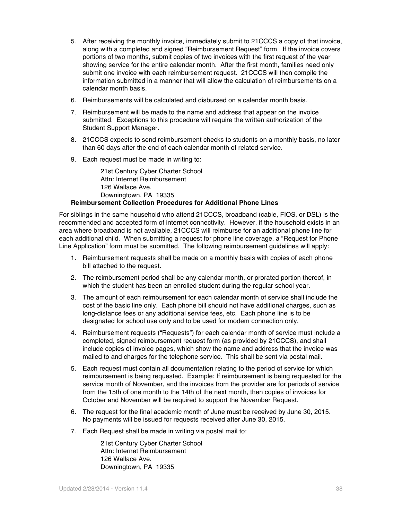- 5. After receiving the monthly invoice, immediately submit to 21CCCS a copy of that invoice, along with a completed and signed "Reimbursement Request" form. If the invoice covers portions of two months, submit copies of two invoices with the first request of the year showing service for the entire calendar month. After the first month, families need only submit one invoice with each reimbursement request. 21CCCS will then compile the information submitted in a manner that will allow the calculation of reimbursements on a calendar month basis.
- 6. Reimbursements will be calculated and disbursed on a calendar month basis.
- 7. Reimbursement will be made to the name and address that appear on the invoice submitted. Exceptions to this procedure will require the written authorization of the Student Support Manager.
- 8. 21CCCS expects to send reimbursement checks to students on a monthly basis, no later than 60 days after the end of each calendar month of related service.
- 9. Each request must be made in writing to:

21st Century Cyber Charter School Attn: Internet Reimbursement 126 Wallace Ave. Downingtown, PA 19335

#### **Reimbursement Collection Procedures for Additional Phone Lines**

For siblings in the same household who attend 21CCCS, broadband (cable, FIOS, or DSL) is the recommended and accepted form of internet connectivity. However, if the household exists in an area where broadband is not available, 21CCCS will reimburse for an additional phone line for each additional child. When submitting a request for phone line coverage, a "Request for Phone Line Application" form must be submitted. The following reimbursement guidelines will apply:

- 1. Reimbursement requests shall be made on a monthly basis with copies of each phone bill attached to the request.
- 2. The reimbursement period shall be any calendar month, or prorated portion thereof, in which the student has been an enrolled student during the regular school year.
- 3. The amount of each reimbursement for each calendar month of service shall include the cost of the basic line only. Each phone bill should not have additional charges, such as long-distance fees or any additional service fees, etc. Each phone line is to be designated for school use only and to be used for modem connection only.
- 4. Reimbursement requests ("Requests") for each calendar month of service must include a completed, signed reimbursement request form (as provided by 21CCCS), and shall include copies of invoice pages, which show the name and address that the invoice was mailed to and charges for the telephone service. This shall be sent via postal mail.
- 5. Each request must contain all documentation relating to the period of service for which reimbursement is being requested. Example: If reimbursement is being requested for the service month of November, and the invoices from the provider are for periods of service from the 15th of one month to the 14th of the next month, then copies of invoices for October and November will be required to support the November Request.
- 6. The request for the final academic month of June must be received by June 30, 2015. No payments will be issued for requests received after June 30, 2015.
- 7. Each Request shall be made in writing via postal mail to:

21st Century Cyber Charter School Attn: Internet Reimbursement 126 Wallace Ave. Downingtown, PA 19335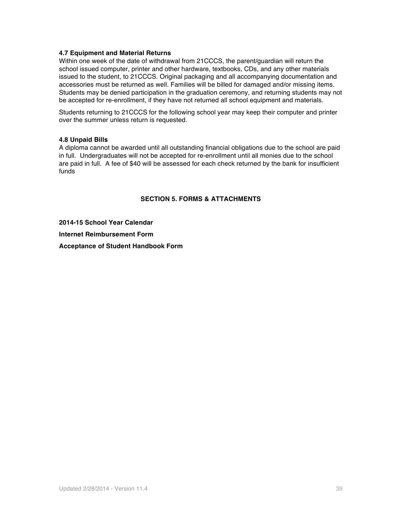#### **4.7 Equipment and Material Returns**

Within one week of the date of withdrawal from 21CCCS, the parent/guardian will return the school issued computer, printer and other hardware, textbooks, CDs, and any other materials issued to the student, to 21CCCS. Original packaging and all accompanying documentation and accessories must be returned as well. Families will be billed for damaged and/or missing items. Students may be denied participation in the graduation ceremony, and returning students may not be accepted for re-enrollment, if they have not returned all school equipment and materials.

Students returning to 21CCCS for the following school year may keep their computer and printer over the summer unless return is requested.

#### **4.8 Unpaid Bills**

A diploma cannot be awarded until all outstanding financial obligations due to the school are paid in full. Undergraduates will not be accepted for re-enrollment until all monies due to the school are paid in full. A fee of \$40 will be assessed for each check returned by the bank for insufficient funds

#### **SECTION 5. FORMS & ATTACHMENTS**

**2014-15 School Year Calendar Internet Reimbursement Form**

**Acceptance of Student Handbook Form**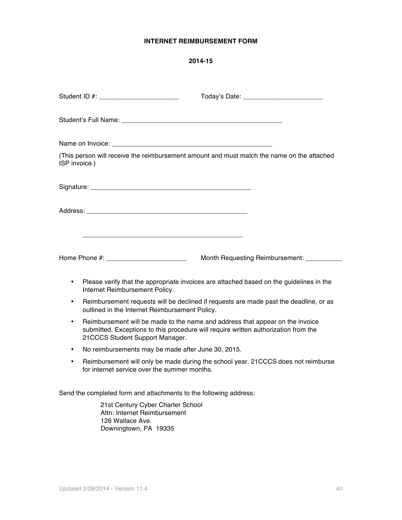#### **INTERNET REIMBURSEMENT FORM**

#### **2014-15**

|               | Name on Invoice: Name of Invoice and Invoice of Invoice and Invoice and Invoice and Invoice and Invoice and Invoice                                                                                     |                                                                                            |
|---------------|---------------------------------------------------------------------------------------------------------------------------------------------------------------------------------------------------------|--------------------------------------------------------------------------------------------|
| ISP invoice.) |                                                                                                                                                                                                         | (This person will receive the reimbursement amount and must match the name on the attached |
|               |                                                                                                                                                                                                         |                                                                                            |
|               |                                                                                                                                                                                                         |                                                                                            |
|               |                                                                                                                                                                                                         |                                                                                            |
|               |                                                                                                                                                                                                         | Home Phone #: __________________________ Month Requesting Reimbursement: ________          |
| $\bullet$     | Internet Reimbursement Policy.                                                                                                                                                                          | Please verify that the appropriate invoices are attached based on the guidelines in the    |
| $\bullet$     | outlined in the Internet Reimbursement Policy.                                                                                                                                                          | Reimbursement requests will be declined if requests are made past the deadline, or as      |
| $\bullet$     | Reimbursement will be made to the name and address that appear on the invoice<br>submitted. Exceptions to this procedure will require written authorization from the<br>21CCCS Student Support Manager. |                                                                                            |
| $\bullet$     | No reimbursements may be made after June 30, 2015.                                                                                                                                                      |                                                                                            |
| $\bullet$     | for internet service over the summer months.                                                                                                                                                            | Reimbursement will only be made during the school year. 21CCCS does not reimburse          |
|               | Send the completed form and attachments to the following address:                                                                                                                                       |                                                                                            |
|               | 21st Century Cyber Charter School<br>Attn: Internet Reimbursement                                                                                                                                       |                                                                                            |

Attn: Internet Reimbursement 126 Wallace Ave. Downingtown, PA 19335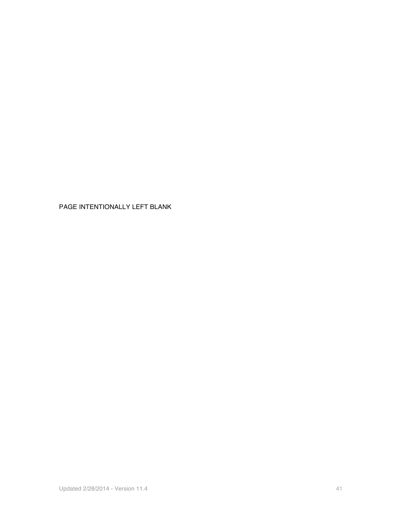#### PAGE INTENTIONALLY LEFT BLANK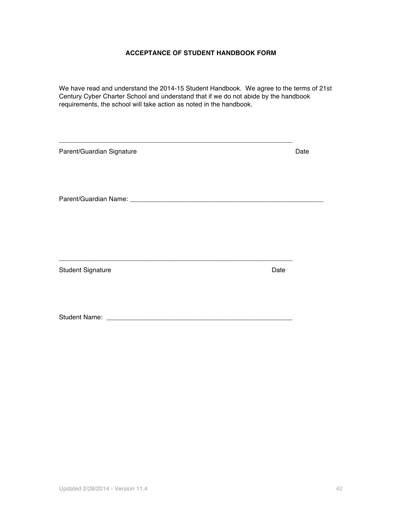#### **ACCEPTANCE OF STUDENT HANDBOOK FORM**

We have read and understand the 2014-15 Student Handbook. We agree to the terms of 21st Century Cyber Charter School and understand that if we do not abide by the handbook requirements, the school will take action as noted in the handbook.

| Parent/Guardian Signature |      | Date |
|---------------------------|------|------|
|                           |      |      |
|                           |      |      |
|                           |      |      |
|                           |      |      |
|                           |      |      |
| <b>Student Signature</b>  | Date |      |
|                           |      |      |
|                           |      |      |
| <b>Student Name:</b>      |      |      |